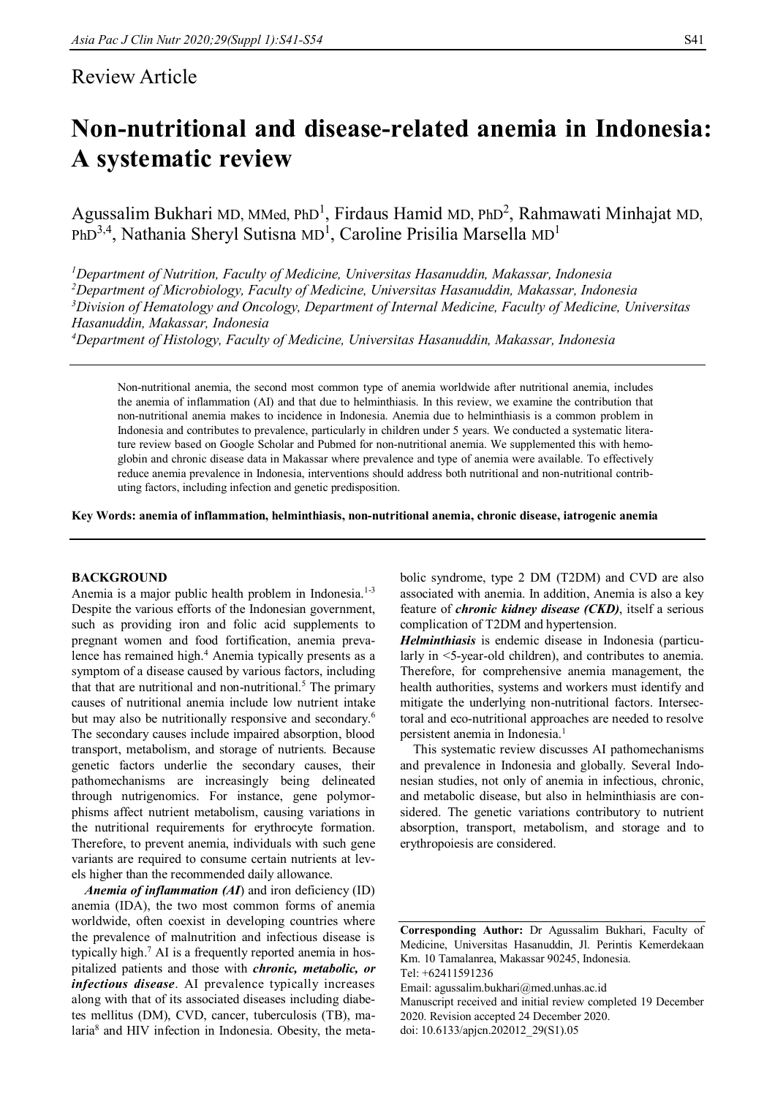# Review Article

# **Non-nutritional and disease-related anemia in Indonesia: A systematic review**

Agussalim Bukhari MD, MMed, PhD<sup>1</sup>, Firdaus Hamid MD, PhD<sup>2</sup>, Rahmawati Minhajat MD, PhD $^{3,4}$ , Nathania Sheryl Sutisna MD<sup>1</sup>, Caroline Prisilia Marsella MD<sup>1</sup>

*Department of Nutrition, Faculty of Medicine, Universitas Hasanuddin, Makassar, Indonesia Department of Microbiology, Faculty of Medicine, Universitas Hasanuddin, Makassar, Indonesia Division of Hematology and Oncology, Department of Internal Medicine, Faculty of Medicine, Universitas Hasanuddin, Makassar, Indonesia Department of Histology, Faculty of Medicine, Universitas Hasanuddin, Makassar, Indonesia*

Non-nutritional anemia, the second most common type of anemia worldwide after nutritional anemia, includes the anemia of inflammation (AI) and that due to helminthiasis. In this review, we examine the contribution that non-nutritional anemia makes to incidence in Indonesia. Anemia due to helminthiasis is a common problem in Indonesia and contributes to prevalence, particularly in children under 5 years. We conducted a systematic literature review based on Google Scholar and Pubmed for non-nutritional anemia. We supplemented this with hemoglobin and chronic disease data in Makassar where prevalence and type of anemia were available. To effectively reduce anemia prevalence in Indonesia, interventions should address both nutritional and non-nutritional contributing factors, including infection and genetic predisposition.

**Key Words: anemia of inflammation, helminthiasis, non-nutritional anemia, chronic disease, iatrogenic anemia**

# **BACKGROUND**

Anemia is a major public health problem in Indonesia. $1-3$ Despite the various efforts of the Indonesian government, such as providing iron and folic acid supplements to pregnant women and food fortification, anemia prevalence has remained high.<sup>4</sup> Anemia typically presents as a symptom of a disease caused by various factors, including that that are nutritional and non-nutritional.<sup>5</sup> The primary causes of nutritional anemia include low nutrient intake but may also be nutritionally responsive and secondary.<sup>6</sup> The secondary causes include impaired absorption, blood transport, metabolism, and storage of nutrients. Because genetic factors underlie the secondary causes, their pathomechanisms are increasingly being delineated through nutrigenomics. For instance, gene polymorphisms affect nutrient metabolism, causing variations in the nutritional requirements for erythrocyte formation. Therefore, to prevent anemia, individuals with such gene variants are required to consume certain nutrients at levels higher than the recommended daily allowance.

*Anemia of inflammation (AI)* and iron deficiency (ID) anemia (IDA), the two most common forms of anemia worldwide, often coexist in developing countries where the prevalence of malnutrition and infectious disease is typically high.<sup>7</sup> AI is a frequently reported anemia in hospitalized patients and those with *chronic, metabolic, or infectious disease*. AI prevalence typically increases along with that of its associated diseases including diabetes mellitus (DM), CVD, cancer, tuberculosis (TB), malaria<sup>8</sup> and HIV infection in Indonesia. Obesity, the metabolic syndrome, type 2 DM (T2DM) and CVD are also associated with anemia. In addition, Anemia is also a key feature of *chronic kidney disease (CKD)*, itself a serious complication of T2DM and hypertension.

*Helminthiasis* is endemic disease in Indonesia (particularly in <5-year-old children), and contributes to anemia. Therefore, for comprehensive anemia management, the health authorities, systems and workers must identify and mitigate the underlying non-nutritional factors. Intersectoral and eco-nutritional approaches are needed to resolve persistent anemia in Indonesia.<sup>1</sup>

This systematic review discusses AI pathomechanisms and prevalence in Indonesia and globally. Several Indonesian studies, not only of anemia in infectious, chronic, and metabolic disease, but also in helminthiasis are considered. The genetic variations contributory to nutrient absorption, transport, metabolism, and storage and to erythropoiesis are considered.

Email: agussalim.bukhari@med.unhas.ac.id

Manuscript received and initial review completed 19 December 2020. Revision accepted 24 December 2020. doi: 10.6133/apjcn.202012\_29(S1).05

**Corresponding Author:** Dr Agussalim Bukhari, Faculty of Medicine, Universitas Hasanuddin, Jl. Perintis Kemerdekaan Km. 10 Tamalanrea, Makassar 90245, Indonesia. Tel: +62411591236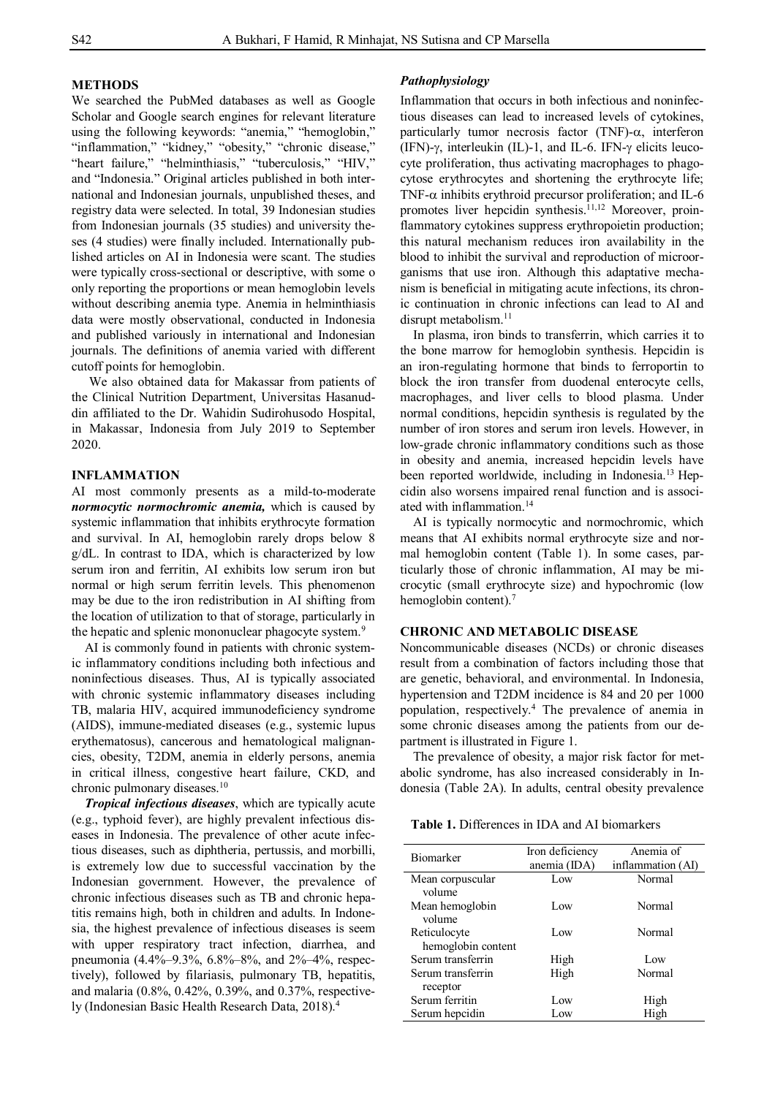# **METHODS**

We searched the PubMed databases as well as Google Scholar and Google search engines for relevant literature using the following keywords: "anemia," "hemoglobin," "inflammation," "kidney," "obesity," "chronic disease," "heart failure," "helminthiasis," "tuberculosis," "HIV," and "Indonesia." Original articles published in both international and Indonesian journals, unpublished theses, and registry data were selected. In total, 39 Indonesian studies from Indonesian journals (35 studies) and university theses (4 studies) were finally included. Internationally published articles on AI in Indonesia were scant. The studies were typically cross-sectional or descriptive, with some o only reporting the proportions or mean hemoglobin levels without describing anemia type. Anemia in helminthiasis data were mostly observational, conducted in Indonesia and published variously in international and Indonesian journals. The definitions of anemia varied with different cutoff points for hemoglobin.

We also obtained data for Makassar from patients of the Clinical Nutrition Department, Universitas Hasanuddin affiliated to the Dr. Wahidin Sudirohusodo Hospital, in Makassar, Indonesia from July 2019 to September 2020.

#### **INFLAMMATION**

AI most commonly presents as a mild-to-moderate *normocytic normochromic anemia,* which is caused by systemic inflammation that inhibits erythrocyte formation and survival. In AI, hemoglobin rarely drops below 8 g/dL. In contrast to IDA, which is characterized by low serum iron and ferritin, AI exhibits low serum iron but normal or high serum ferritin levels. This phenomenon may be due to the iron redistribution in AI shifting from the location of utilization to that of storage, particularly in the hepatic and splenic mononuclear phagocyte system.<sup>9</sup>

AI is commonly found in patients with chronic systemic inflammatory conditions including both infectious and noninfectious diseases. Thus, AI is typically associated with chronic systemic inflammatory diseases including TB, malaria HIV, acquired immunodeficiency syndrome (AIDS), immune-mediated diseases (e.g., systemic lupus erythematosus), cancerous and hematological malignancies, obesity, T2DM, anemia in elderly persons, anemia in critical illness, congestive heart failure, CKD, and chronic pulmonary diseases.<sup>10</sup>

 *Tropical infectious diseases*, which are typically acute (e.g., typhoid fever), are highly prevalent infectious diseases in Indonesia. The prevalence of other acute infectious diseases, such as diphtheria, pertussis, and morbilli, is extremely low due to successful vaccination by the Indonesian government. However, the prevalence of chronic infectious diseases such as TB and chronic hepatitis remains high, both in children and adults. In Indonesia, the highest prevalence of infectious diseases is seem with upper respiratory tract infection, diarrhea, and pneumonia (4.4%–9.3%, 6.8%–8%, and 2%–4%, respectively), followed by filariasis, pulmonary TB, hepatitis, and malaria (0.8%, 0.42%, 0.39%, and 0.37%, respectively (Indonesian Basic Health Research Data, 2018). 4

## *Pathophysiology*

Inflammation that occurs in both infectious and noninfectious diseases can lead to increased levels of cytokines, particularly tumor necrosis factor (TNF)- $\alpha$ , interferon (IFN)- $\gamma$ , interleukin (IL)-1, and IL-6. IFN- $\gamma$  elicits leucocyte proliferation, thus activating macrophages to phagocytose erythrocytes and shortening the erythrocyte life; TNF- $\alpha$  inhibits erythroid precursor proliferation; and IL-6 promotes liver hepcidin synthesis.<sup>11,12</sup> Moreover, proinflammatory cytokines suppress erythropoietin production; this natural mechanism reduces iron availability in the blood to inhibit the survival and reproduction of microorganisms that use iron. Although this adaptative mechanism is beneficial in mitigating acute infections, its chronic continuation in chronic infections can lead to AI and disrupt metabolism.<sup>11</sup>

In plasma, iron binds to transferrin, which carries it to the bone marrow for hemoglobin synthesis. Hepcidin is an iron-regulating hormone that binds to ferroportin to block the iron transfer from duodenal enterocyte cells, macrophages, and liver cells to blood plasma. Under normal conditions, hepcidin synthesis is regulated by the number of iron stores and serum iron levels. However, in low-grade chronic inflammatory conditions such as those in obesity and anemia, increased hepcidin levels have been reported worldwide, including in Indonesia.<sup>13</sup> Hepcidin also worsens impaired renal function and is associated with inflammation.<sup>14</sup>

AI is typically normocytic and normochromic, which means that AI exhibits normal erythrocyte size and normal hemoglobin content (Table 1). In some cases, particularly those of chronic inflammation, AI may be microcytic (small erythrocyte size) and hypochromic (low hemoglobin content).<sup>7</sup>

# **CHRONIC AND METABOLIC DISEASE**

Noncommunicable diseases (NCDs) or chronic diseases result from a combination of factors including those that are genetic, behavioral, and environmental. In Indonesia, hypertension and T2DM incidence is 84 and 20 per 1000 population, respectively.<sup>4</sup> The prevalence of anemia in some chronic diseases among the patients from our department is illustrated in Figure 1.

The prevalence of obesity, a major risk factor for metabolic syndrome, has also increased considerably in Indonesia (Table 2A). In adults, central obesity prevalence

| <b>Table 1.</b> Differences in IDA and AI biomarkers |  |
|------------------------------------------------------|--|
|------------------------------------------------------|--|

| Biomarker          | Iron deficiency<br>anemia (IDA) | Anemia of<br>inflammation (AI) |
|--------------------|---------------------------------|--------------------------------|
| Mean corpuscular   | Low                             | Normal                         |
| volume             |                                 |                                |
| Mean hemoglobin    | Low                             | <b>Normal</b>                  |
| volume             |                                 |                                |
| Reticulocyte       | Low                             | <b>Normal</b>                  |
| hemoglobin content |                                 |                                |
| Serum transferrin  | High                            | Low                            |
| Serum transferrin  | High                            | Normal                         |
| receptor           |                                 |                                |
| Serum ferritin     | Low                             | High                           |
| Serum hepcidin     | Low                             | High                           |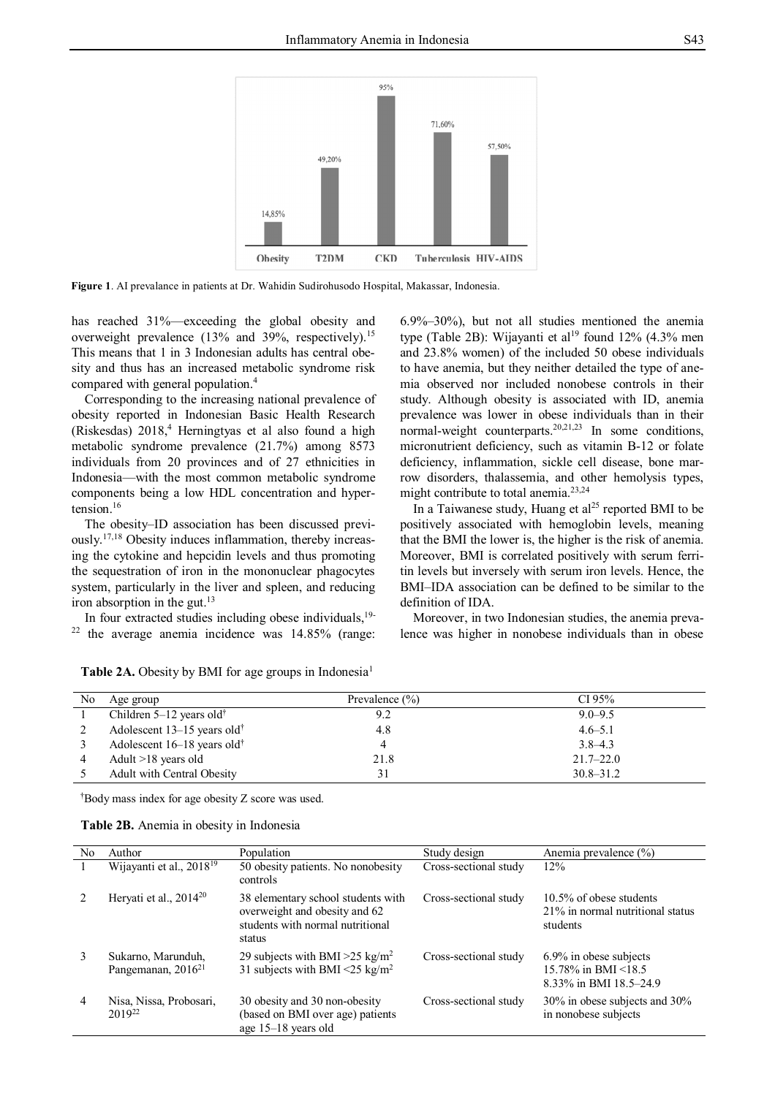

**Figure 1**. AI prevalance in patients at Dr. Wahidin Sudirohusodo Hospital, Makassar, Indonesia.

has reached 31%—exceeding the global obesity and overweight prevalence (13% and 39%, respectively).<sup>15</sup> This means that 1 in 3 Indonesian adults has central obesity and thus has an increased metabolic syndrome risk compared with general population.<sup>4</sup>

Corresponding to the increasing national prevalence of obesity reported in Indonesian Basic Health Research (Riskesdas) 2018,<sup>4</sup> Herningtyas et al also found a high metabolic syndrome prevalence (21.7%) among 8573 individuals from 20 provinces and of 27 ethnicities in Indonesia—with the most common metabolic syndrome components being a low HDL concentration and hypertension.<sup>16</sup>

The obesity–ID association has been discussed previously.17,18 Obesity induces inflammation, thereby increasing the cytokine and hepcidin levels and thus promoting the sequestration of iron in the mononuclear phagocytes system, particularly in the liver and spleen, and reducing iron absorption in the gut.<sup>13</sup>

In four extracted studies including obese individuals,19- <sup>22</sup> the average anemia incidence was 14.85% (range: 6.9%–30%), but not all studies mentioned the anemia type (Table 2B): Wijayanti et al<sup>19</sup> found 12% (4.3% men and 23.8% women) of the included 50 obese individuals to have anemia, but they neither detailed the type of anemia observed nor included nonobese controls in their study. Although obesity is associated with ID, anemia prevalence was lower in obese individuals than in their normal-weight counterparts.<sup>20,21,23</sup> In some conditions, micronutrient deficiency, such as vitamin B-12 or folate deficiency, inflammation, sickle cell disease, bone marrow disorders, thalassemia, and other hemolysis types, might contribute to total anemia.23,24

In a Taiwanese study, Huang et al<sup>25</sup> reported BMI to be positively associated with hemoglobin levels, meaning that the BMI the lower is, the higher is the risk of anemia. Moreover, BMI is correlated positively with serum ferritin levels but inversely with serum iron levels. Hence, the BMI–IDA association can be defined to be similar to the definition of IDA.

Moreover, in two Indonesian studies, the anemia prevalence was higher in nonobese individuals than in obese

| No | Age group                               | Prevalence $(\% )$ | CI 95%        |
|----|-----------------------------------------|--------------------|---------------|
|    | Children $5-12$ years old <sup>†</sup>  | 9.2                | $9.0 - 9.5$   |
|    | Adolescent 13-15 years old <sup>†</sup> | 4.8                | $4.6 - 5.1$   |
|    | Adolescent 16-18 years old <sup>†</sup> | 4                  | $3.8 - 4.3$   |
|    | Adult >18 years old                     | 21.8               | $21.7 - 22.0$ |
|    | Adult with Central Obesity              | 31                 | $30.8 - 31.2$ |

**Table 2A.** Obesity by BMI for age groups in Indonesia<sup>1</sup>

†Body mass index for age obesity Z score was used.

| Table 2B. Anemia in obesity in Indonesia |  |  |  |
|------------------------------------------|--|--|--|
|                                          |  |  |  |
|                                          |  |  |  |

| No             | Author                                        | Population                                                                                                        | Study design          | Anemia prevalence (%)                                                      |
|----------------|-----------------------------------------------|-------------------------------------------------------------------------------------------------------------------|-----------------------|----------------------------------------------------------------------------|
|                | Wijayanti et al., 2018 <sup>19</sup>          | 50 obesity patients. No nonobesity<br>controls                                                                    | Cross-sectional study | 12%                                                                        |
|                | Heryati et al., $2014^{20}$                   | 38 elementary school students with<br>overweight and obesity and 62<br>students with normal nutritional<br>status | Cross-sectional study | 10.5% of obese students<br>21% in normal nutritional status<br>students    |
| 3              | Sukarno, Marunduh,<br>Pangemanan, $2016^{21}$ | 29 subjects with BMI > 25 kg/m <sup>2</sup><br>31 subjects with BMI <25 kg/m <sup>2</sup>                         | Cross-sectional study | $6.9\%$ in obese subjects<br>15.78% in BMI <18.5<br>8.33% in BMI 18.5-24.9 |
| $\overline{4}$ | Nisa, Nissa, Probosari,<br>2019 <sup>22</sup> | 30 obesity and 30 non-obesity<br>(based on BMI over age) patients<br>age $15-18$ years old                        | Cross-sectional study | 30% in obese subjects and 30%<br>in nonobese subjects                      |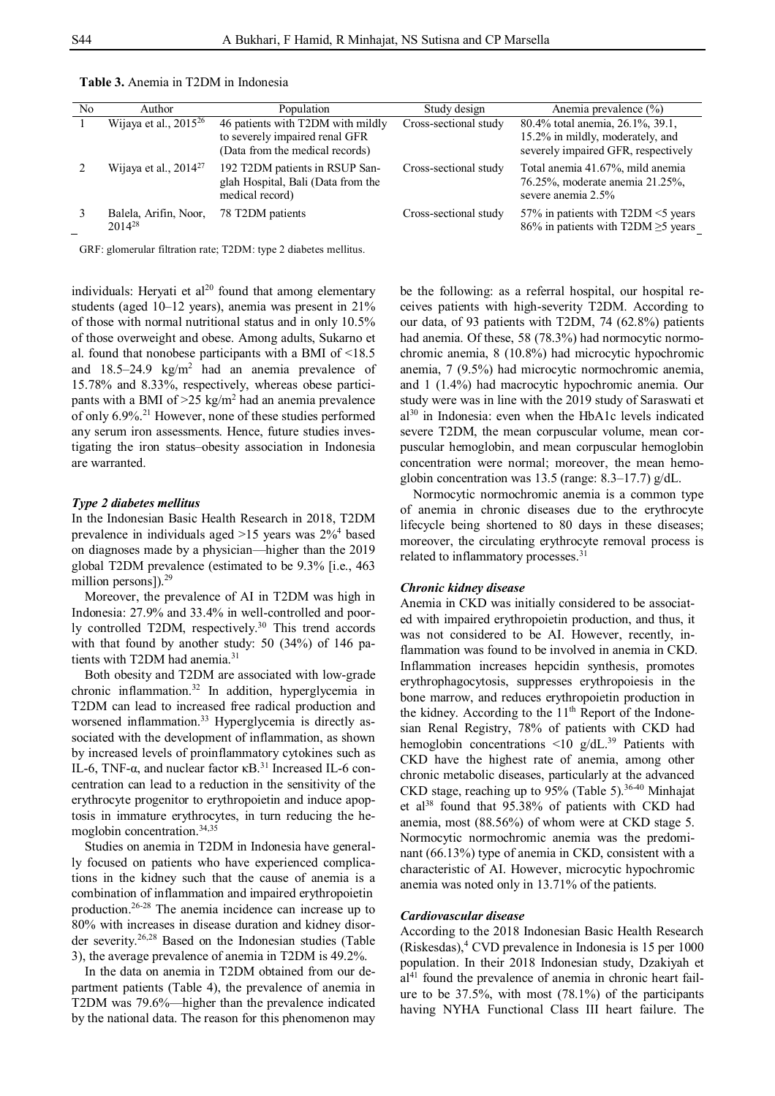| N <sub>0</sub> | Author                               | Population                                                                                             | Study design          | Anemia prevalence (%)                                                                                       |
|----------------|--------------------------------------|--------------------------------------------------------------------------------------------------------|-----------------------|-------------------------------------------------------------------------------------------------------------|
|                | Wijaya et al., $2015^{26}$           | 46 patients with T2DM with mildly<br>to severely impaired renal GFR<br>(Data from the medical records) | Cross-sectional study | 80.4% total anemia, 26.1%, 39.1,<br>15.2% in mildly, moderately, and<br>severely impaired GFR, respectively |
|                | Wijaya et al., $2014^{27}$           | 192 T2DM patients in RSUP San-<br>glah Hospital, Bali (Data from the<br>medical record)                | Cross-sectional study | Total anemia 41.67%, mild anemia<br>76.25%, moderate anemia 21.25%,<br>severe anemia 2.5%                   |
| $\mathcal{E}$  | Balela, Arifin, Noor,<br>$2014^{28}$ | 78 T2DM patients                                                                                       | Cross-sectional study | 57% in patients with T2DM <5 years<br>86% in patients with T2DM $\geq$ 5 years                              |

**Table 3.** Anemia in T2DM in Indonesia

GRF: glomerular filtration rate; T2DM: type 2 diabetes mellitus.

individuals: Heryati et al<sup>20</sup> found that among elementary students (aged 10–12 years), anemia was present in 21% of those with normal nutritional status and in only 10.5% of those overweight and obese. Among adults, Sukarno et al. found that nonobese participants with a BMI of <18.5 and  $18.5-24.9$  kg/m<sup>2</sup> had an anemia prevalence of 15.78% and 8.33%, respectively, whereas obese participants with a BMI of  $>25$  kg/m<sup>2</sup> had an anemia prevalence of only 6.9%.<sup>21</sup> However, none of these studies performed any serum iron assessments. Hence, future studies investigating the iron status–obesity association in Indonesia are warranted.

#### *Type 2 diabetes mellitus*

In the Indonesian Basic Health Research in 2018, T2DM prevalence in individuals aged  $>15$  years was  $2\%$ <sup>4</sup> based on diagnoses made by a physician—higher than the 2019 global T2DM prevalence (estimated to be 9.3% [i.e., 463 million persons]).<sup>29</sup>

Moreover, the prevalence of AI in T2DM was high in Indonesia: 27.9% and 33.4% in well-controlled and poorly controlled T2DM, respectively.<sup>30</sup> This trend accords with that found by another study: 50 (34%) of 146 patients with T2DM had anemia.<sup>31</sup>

Both obesity and T2DM are associated with low-grade chronic inflammation.<sup>32</sup> In addition, hyperglycemia in T2DM can lead to increased free radical production and worsened inflammation.<sup>33</sup> Hyperglycemia is directly associated with the development of inflammation, as shown by increased levels of proinflammatory cytokines such as IL-6, TNF-α, and nuclear factor  $κB.<sup>31</sup>$  Increased IL-6 concentration can lead to a reduction in the sensitivity of the erythrocyte progenitor to erythropoietin and induce apoptosis in immature erythrocytes, in turn reducing the hemoglobin concentration.34,35

Studies on anemia in T2DM in Indonesia have generally focused on patients who have experienced complications in the kidney such that the cause of anemia is a combination of inflammation and impaired erythropoietin production.26-28 The anemia incidence can increase up to 80% with increases in disease duration and kidney disorder severity.26,28 Based on the Indonesian studies (Table 3), the average prevalence of anemia in T2DM is 49.2%.

In the data on anemia in T2DM obtained from our department patients (Table 4), the prevalence of anemia in T2DM was 79.6%—higher than the prevalence indicated by the national data. The reason for this phenomenon may be the following: as a referral hospital, our hospital receives patients with high-severity T2DM. According to our data, of 93 patients with T2DM, 74 (62.8%) patients had anemia. Of these, 58 (78.3%) had normocytic normochromic anemia, 8 (10.8%) had microcytic hypochromic anemia, 7 (9.5%) had microcytic normochromic anemia, and 1 (1.4%) had macrocytic hypochromic anemia. Our study were was in line with the 2019 study of Saraswati et  $a^{30}$  in Indonesia: even when the HbA1c levels indicated severe T2DM, the mean corpuscular volume, mean corpuscular hemoglobin, and mean corpuscular hemoglobin concentration were normal; moreover, the mean hemoglobin concentration was 13.5 (range:  $8.3-17.7$ ) g/dL.

Normocytic normochromic anemia is a common type of anemia in chronic diseases due to the erythrocyte lifecycle being shortened to 80 days in these diseases; moreover, the circulating erythrocyte removal process is related to inflammatory processes.<sup>31</sup>

### *Chronic kidney disease*

Anemia in CKD was initially considered to be associated with impaired erythropoietin production, and thus, it was not considered to be AI. However, recently, inflammation was found to be involved in anemia in CKD. Inflammation increases hepcidin synthesis, promotes erythrophagocytosis, suppresses erythropoiesis in the bone marrow, and reduces erythropoietin production in the kidney. According to the 11<sup>th</sup> Report of the Indonesian Renal Registry, 78% of patients with CKD had hemoglobin concentrations <10  $g/dL$ .<sup>39</sup> Patients with CKD have the highest rate of anemia, among other chronic metabolic diseases, particularly at the advanced CKD stage, reaching up to 95% (Table 5).<sup>36-40</sup> Minhajat et al<sup>38</sup> found that  $95.38\%$  of patients with CKD had anemia, most (88.56%) of whom were at CKD stage 5. Normocytic normochromic anemia was the predominant (66.13%) type of anemia in CKD, consistent with a characteristic of AI. However, microcytic hypochromic anemia was noted only in 13.71% of the patients.

#### *Cardiovascular disease*

According to the 2018 Indonesian Basic Health Research  $(Riskesdas)$ , CVD prevalence in Indonesia is 15 per 1000 population. In their 2018 Indonesian study, Dzakiyah et  $al<sup>41</sup>$  found the prevalence of anemia in chronic heart failure to be 37.5%, with most (78.1%) of the participants having NYHA Functional Class III heart failure. The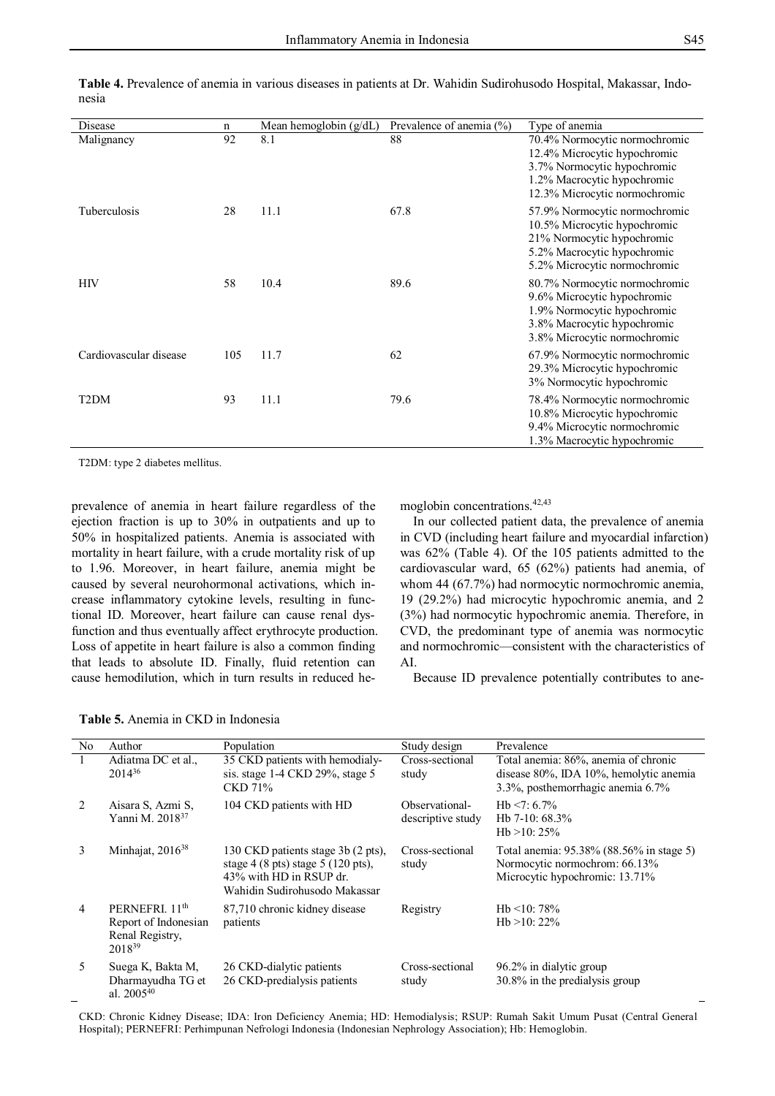| Disease                | $\mathbf n$ | Mean hemoglobin $(g/dL)$ | Prevalence of anemia (%) | Type of anemia                                                                                                                                               |
|------------------------|-------------|--------------------------|--------------------------|--------------------------------------------------------------------------------------------------------------------------------------------------------------|
| Malignancy             | 92          | 8.1                      | 88                       | 70.4% Normocytic normochromic<br>12.4% Microcytic hypochromic<br>3.7% Normocytic hypochromic<br>1.2% Macrocytic hypochromic<br>12.3% Microcytic normochromic |
| Tuberculosis           | 28          | 11.1                     | 67.8                     | 57.9% Normocytic normochromic<br>10.5% Microcytic hypochromic<br>21% Normocytic hypochromic<br>5.2% Macrocytic hypochromic<br>5.2% Microcytic normochromic   |
| <b>HIV</b>             | 58          | 10.4                     | 89.6                     | 80.7% Normocytic normochromic<br>9.6% Microcytic hypochromic<br>1.9% Normocytic hypochromic<br>3.8% Macrocytic hypochromic<br>3.8% Microcytic normochromic   |
| Cardiovascular disease | 105         | 11.7                     | 62                       | 67.9% Normocytic normochromic<br>29.3% Microcytic hypochromic<br>3% Normocytic hypochromic                                                                   |
| T <sub>2</sub> DM      | 93          | 11.1                     | 79.6                     | 78.4% Normocytic normochromic<br>10.8% Microcytic hypochromic<br>9.4% Microcytic normochromic<br>1.3% Macrocytic hypochromic                                 |

**Table 4.** Prevalence of anemia in various diseases in patients at Dr. Wahidin Sudirohusodo Hospital, Makassar, Indonesia

T2DM: type 2 diabetes mellitus.

prevalence of anemia in heart failure regardless of the ejection fraction is up to 30% in outpatients and up to 50% in hospitalized patients. Anemia is associated with mortality in heart failure, with a crude mortality risk of up to 1.96. Moreover, in heart failure, anemia might be caused by several neurohormonal activations, which increase inflammatory cytokine levels, resulting in functional ID. Moreover, heart failure can cause renal dysfunction and thus eventually affect erythrocyte production. Loss of appetite in heart failure is also a common finding that leads to absolute ID. Finally, fluid retention can cause hemodilution, which in turn results in reduced hemoglobin concentrations.42,43

In our collected patient data, the prevalence of anemia in CVD (including heart failure and myocardial infarction) was 62% (Table 4). Of the 105 patients admitted to the cardiovascular ward, 65 (62%) patients had anemia, of whom 44 (67.7%) had normocytic normochromic anemia, 19 (29.2%) had microcytic hypochromic anemia, and 2 (3%) had normocytic hypochromic anemia. Therefore, in CVD, the predominant type of anemia was normocytic and normochromic—consistent with the characteristics of AI.

Because ID prevalence potentially contributes to ane-

|  |  |  |  |  |  |  |  | Table 5. Anemia in CKD in Indonesia |
|--|--|--|--|--|--|--|--|-------------------------------------|
|--|--|--|--|--|--|--|--|-------------------------------------|

| N <sub>o</sub> | Author                                                                               | Population                                                                                                                                              | Study design                        | Prevalence                                                                                                          |
|----------------|--------------------------------------------------------------------------------------|---------------------------------------------------------------------------------------------------------------------------------------------------------|-------------------------------------|---------------------------------------------------------------------------------------------------------------------|
|                | Adiatma DC et al.,<br>$2014^{36}$                                                    | 35 CKD patients with hemodialy-<br>sis. stage 1-4 CKD 29%, stage 5<br>CKD 71%                                                                           | Cross-sectional<br>study            | Total anemia: 86%, anemia of chronic<br>disease 80%, IDA 10%, hemolytic anemia<br>3.3%, posthemorrhagic anemia 6.7% |
| $\mathcal{L}$  | Aisara S, Azmi S,<br>Yanni M. 2018 <sup>37</sup>                                     | 104 CKD patients with HD                                                                                                                                | Observational-<br>descriptive study | $Hb < 7:6.7\%$<br>Hb 7-10: $68.3\%$<br>H <sub>b</sub> $>10:25\%$                                                    |
| 3              | Minhajat, $2016^{38}$                                                                | 130 CKD patients stage 3b (2 pts),<br>stage $4(8 \text{ pts})$ stage $5(120 \text{ pts})$ ,<br>43% with HD in RSUP dr.<br>Wahidin Sudirohusodo Makassar | Cross-sectional<br>study            | Total anemia: 95.38% (88.56% in stage 5)<br>Normocytic normochrom: 66.13%<br>Microcytic hypochromic: 13.71%         |
| 4              | PERNEFRI. 11 <sup>th</sup><br>Report of Indonesian<br>Renal Registry,<br>$2018^{39}$ | 87,710 chronic kidney disease<br>patients                                                                                                               | Registry                            | Hb $\leq 10:78\%$<br>Hb $>10:22\%$                                                                                  |
| 5.             | Suega K, Bakta M,<br>Dharmayudha TG et<br>al. $2005^{40}$                            | 26 CKD-dialytic patients<br>26 CKD-predialysis patients                                                                                                 | Cross-sectional<br>study            | 96.2% in dialytic group<br>30.8% in the predialysis group                                                           |

CKD: Chronic Kidney Disease; IDA: Iron Deficiency Anemia; HD: Hemodialysis; RSUP: Rumah Sakit Umum Pusat (Central General Hospital); PERNEFRI: Perhimpunan Nefrologi Indonesia (Indonesian Nephrology Association); Hb: Hemoglobin.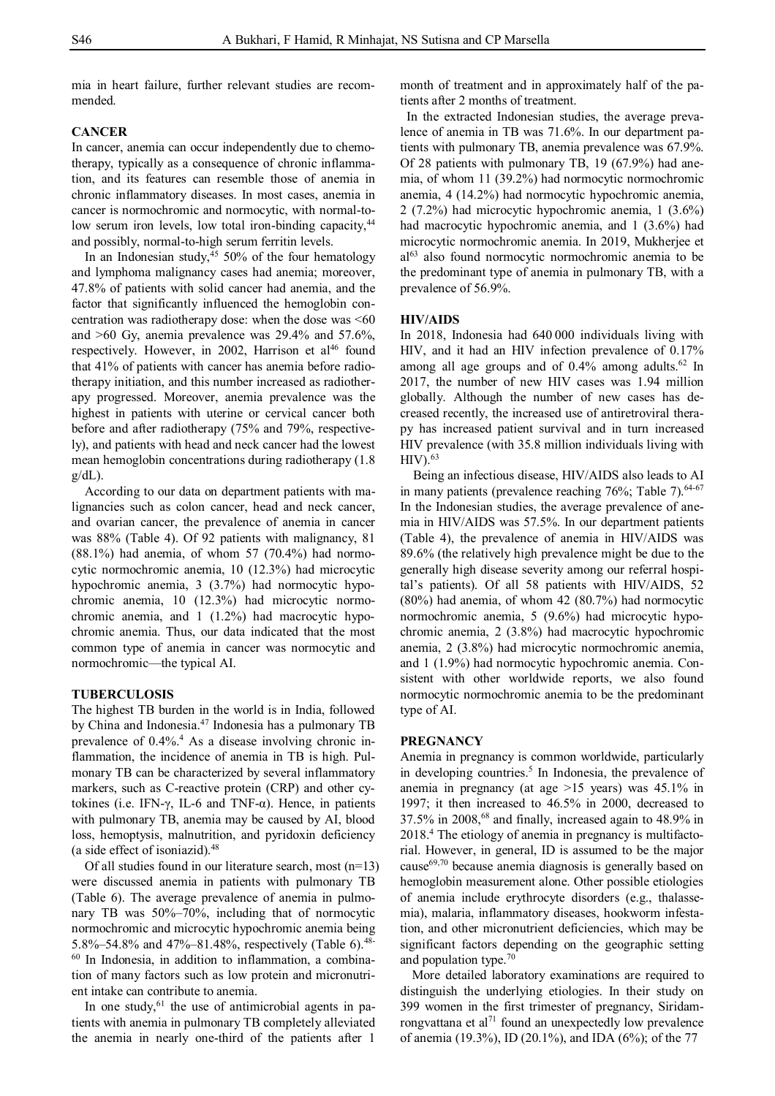mia in heart failure, further relevant studies are recommended.

#### **CANCER**

In cancer, anemia can occur independently due to chemotherapy, typically as a consequence of chronic inflammation, and its features can resemble those of anemia in chronic inflammatory diseases. In most cases, anemia in cancer is normochromic and normocytic, with normal-tolow serum iron levels, low total iron-binding capacity,<sup>44</sup> and possibly, normal-to-high serum ferritin levels.

In an Indonesian study, $45$  50% of the four hematology and lymphoma malignancy cases had anemia; moreover, 47.8% of patients with solid cancer had anemia, and the factor that significantly influenced the hemoglobin concentration was radiotherapy dose: when the dose was  $<60$ and >60 Gy, anemia prevalence was 29.4% and 57.6%, respectively. However, in 2002, Harrison et al<sup>46</sup> found that 41% of patients with cancer has anemia before radiotherapy initiation, and this number increased as radiotherapy progressed. Moreover, anemia prevalence was the highest in patients with uterine or cervical cancer both before and after radiotherapy (75% and 79%, respectively), and patients with head and neck cancer had the lowest mean hemoglobin concentrations during radiotherapy (1.8  $g/dL$ ).

According to our data on department patients with malignancies such as colon cancer, head and neck cancer, and ovarian cancer, the prevalence of anemia in cancer was 88% (Table 4). Of 92 patients with malignancy, 81  $(88.1%)$  had anemia, of whom 57  $(70.4%)$  had normocytic normochromic anemia, 10 (12.3%) had microcytic hypochromic anemia, 3 (3.7%) had normocytic hypochromic anemia, 10 (12.3%) had microcytic normochromic anemia, and 1 (1.2%) had macrocytic hypochromic anemia. Thus, our data indicated that the most common type of anemia in cancer was normocytic and normochromic—the typical AI.

# **TUBERCULOSIS**

The highest TB burden in the world is in India, followed by China and Indonesia.<sup>47</sup> Indonesia has a pulmonary TB prevalence of 0.4%.<sup>4</sup> As a disease involving chronic inflammation, the incidence of anemia in TB is high. Pulmonary TB can be characterized by several inflammatory markers, such as C-reactive protein (CRP) and other cytokines (i.e. IFN- $γ$ , IL-6 and TNF- $α$ ). Hence, in patients with pulmonary TB, anemia may be caused by AI, blood loss, hemoptysis, malnutrition, and pyridoxin deficiency (a side effect of isoniazid). $48$ 

Of all studies found in our literature search, most (n=13) were discussed anemia in patients with pulmonary TB (Table 6). The average prevalence of anemia in pulmonary TB was 50%–70%, including that of normocytic normochromic and microcytic hypochromic anemia being 5.8%–54.8% and 47%–81.48%, respectively (Table 6).<sup>48-1</sup> <sup>60</sup> In Indonesia, in addition to inflammation, a combination of many factors such as low protein and micronutrient intake can contribute to anemia.

In one study,  $61$  the use of antimicrobial agents in patients with anemia in pulmonary TB completely alleviated the anemia in nearly one-third of the patients after 1

month of treatment and in approximately half of the patients after 2 months of treatment.

In the extracted Indonesian studies, the average prevalence of anemia in TB was 71.6%. In our department patients with pulmonary TB, anemia prevalence was 67.9%. Of 28 patients with pulmonary TB, 19 (67.9%) had anemia, of whom 11 (39.2%) had normocytic normochromic anemia, 4 (14.2%) had normocytic hypochromic anemia, 2 (7.2%) had microcytic hypochromic anemia, 1 (3.6%) had macrocytic hypochromic anemia, and 1 (3.6%) had microcytic normochromic anemia. In 2019, Mukherjee et al<sup>63</sup> also found normocytic normochromic anemia to be the predominant type of anemia in pulmonary TB, with a prevalence of 56.9%.

#### **HIV/AIDS**

In 2018, Indonesia had 640 000 individuals living with HIV, and it had an HIV infection prevalence of 0.17% among all age groups and of 0.4% among adults.<sup>62</sup> In 2017, the number of new HIV cases was 1.94 million globally. Although the number of new cases has decreased recently, the increased use of antiretroviral therapy has increased patient survival and in turn increased HIV prevalence (with 35.8 million individuals living with  $HIV$ ).  $63$ 

Being an infectious disease, HIV/AIDS also leads to AI in many patients (prevalence reaching 76%; Table 7).<sup>64-67</sup> In the Indonesian studies, the average prevalence of anemia in HIV/AIDS was 57.5%. In our department patients (Table 4), the prevalence of anemia in HIV/AIDS was 89.6% (the relatively high prevalence might be due to the generally high disease severity among our referral hospital's patients). Of all 58 patients with HIV/AIDS, 52 (80%) had anemia, of whom 42 (80.7%) had normocytic normochromic anemia, 5 (9.6%) had microcytic hypochromic anemia, 2 (3.8%) had macrocytic hypochromic anemia, 2 (3.8%) had microcytic normochromic anemia, and 1 (1.9%) had normocytic hypochromic anemia. Consistent with other worldwide reports, we also found normocytic normochromic anemia to be the predominant type of AI.

#### **PREGNANCY**

Anemia in pregnancy is common worldwide, particularly in developing countries.<sup>5</sup> In Indonesia, the prevalence of anemia in pregnancy (at age >15 years) was 45.1% in 1997; it then increased to 46.5% in 2000, decreased to  $37.5\%$  in  $2008$ ,  $68$  and finally, increased again to 48.9% in 2018.<sup>4</sup> The etiology of anemia in pregnancy is multifactorial. However, in general, ID is assumed to be the major cause $69,70$  because anemia diagnosis is generally based on hemoglobin measurement alone. Other possible etiologies of anemia include erythrocyte disorders (e.g., thalassemia), malaria, inflammatory diseases, hookworm infestation, and other micronutrient deficiencies, which may be significant factors depending on the geographic setting and population type.<sup>70</sup>

More detailed laboratory examinations are required to distinguish the underlying etiologies. In their study on 399 women in the first trimester of pregnancy, Siridamrongvattana et al<sup>71</sup> found an unexpectedly low prevalence of anemia (19.3%), ID (20.1%), and IDA (6%); of the 77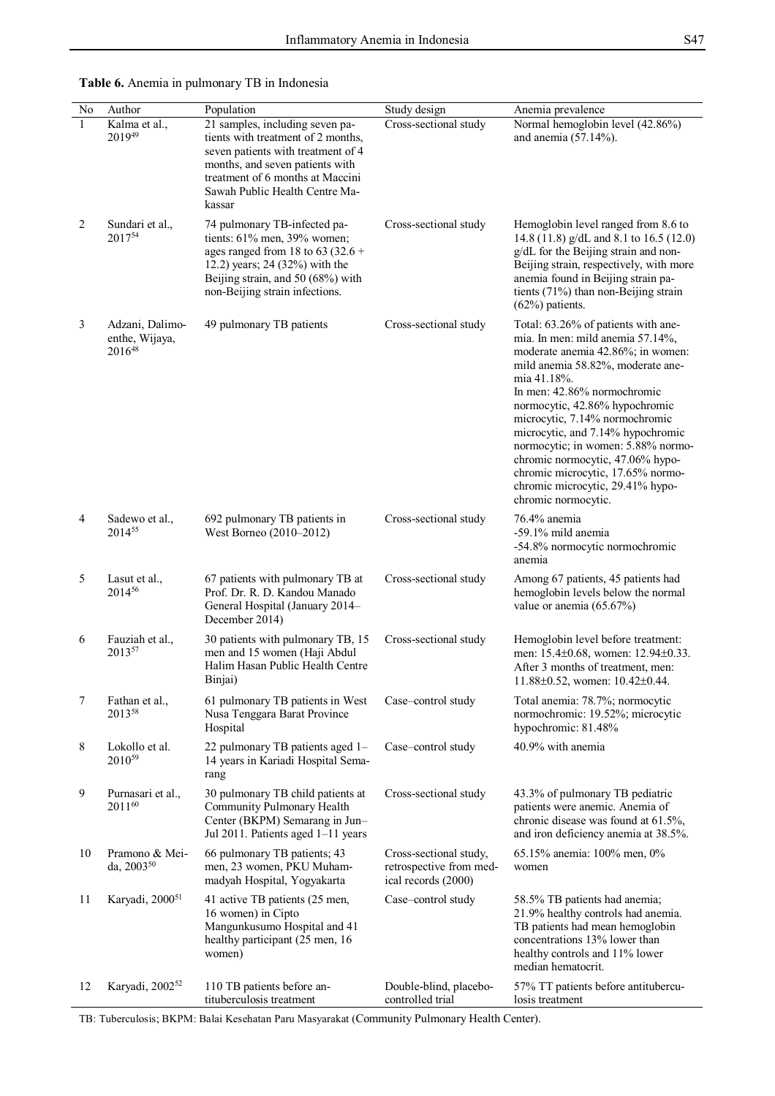| No | Author                                      | Population                                                                                                                                                                                                                     | Study design                                                             | Anemia prevalence                                                                                                                                                                                                                                                                                                                                                                                                                                                                  |
|----|---------------------------------------------|--------------------------------------------------------------------------------------------------------------------------------------------------------------------------------------------------------------------------------|--------------------------------------------------------------------------|------------------------------------------------------------------------------------------------------------------------------------------------------------------------------------------------------------------------------------------------------------------------------------------------------------------------------------------------------------------------------------------------------------------------------------------------------------------------------------|
|    | Kalma et al.,<br>201949                     | 21 samples, including seven pa-<br>tients with treatment of 2 months,<br>seven patients with treatment of 4<br>months, and seven patients with<br>treatment of 6 months at Maccini<br>Sawah Public Health Centre Ma-<br>kassar | Cross-sectional study                                                    | Normal hemoglobin level (42.86%)<br>and anemia $(57.14\%)$ .                                                                                                                                                                                                                                                                                                                                                                                                                       |
| 2  | Sundari et al.,<br>201754                   | 74 pulmonary TB-infected pa-<br>tients: 61% men, 39% women;<br>ages ranged from 18 to 63 (32.6 +<br>12.2) years; 24 (32%) with the<br>Beijing strain, and 50 (68%) with<br>non-Beijing strain infections.                      | Cross-sectional study                                                    | Hemoglobin level ranged from 8.6 to<br>14.8 (11.8) $g/dL$ and 8.1 to 16.5 (12.0)<br>g/dL for the Beijing strain and non-<br>Beijing strain, respectively, with more<br>anemia found in Beijing strain pa-<br>tients (71%) than non-Beijing strain<br>$(62%)$ patients.                                                                                                                                                                                                             |
| 3  | Adzani, Dalimo-<br>enthe, Wijaya,<br>201648 | 49 pulmonary TB patients                                                                                                                                                                                                       | Cross-sectional study                                                    | Total: 63.26% of patients with ane-<br>mia. In men: mild anemia 57.14%,<br>moderate anemia 42.86%; in women:<br>mild anemia 58.82%, moderate ane-<br>mia 41.18%.<br>In men: 42.86% normochromic<br>normocytic, 42.86% hypochromic<br>microcytic, 7.14% normochromic<br>microcytic, and 7.14% hypochromic<br>normocytic; in women: 5.88% normo-<br>chromic normocytic, 47.06% hypo-<br>chromic microcytic, 17.65% normo-<br>chromic microcytic, 29.41% hypo-<br>chromic normocytic. |
| 4  | Sadewo et al.,<br>201455                    | 692 pulmonary TB patients in<br>West Borneo (2010–2012)                                                                                                                                                                        | Cross-sectional study                                                    | 76.4% anemia<br>-59.1% mild anemia<br>-54.8% normocytic normochromic<br>anemia                                                                                                                                                                                                                                                                                                                                                                                                     |
| 5  | Lasut et al.,<br>201456                     | 67 patients with pulmonary TB at<br>Prof. Dr. R. D. Kandou Manado<br>General Hospital (January 2014-<br>December 2014)                                                                                                         | Cross-sectional study                                                    | Among 67 patients, 45 patients had<br>hemoglobin levels below the normal<br>value or anemia $(65.67%)$                                                                                                                                                                                                                                                                                                                                                                             |
| 6  | Fauziah et al.,<br>201357                   | 30 patients with pulmonary TB, 15<br>men and 15 women (Haji Abdul<br>Halim Hasan Public Health Centre<br>Binjai)                                                                                                               | Cross-sectional study                                                    | Hemoglobin level before treatment:<br>men: 15.4±0.68, women: 12.94±0.33.<br>After 3 months of treatment, men:<br>11.88±0.52, women: 10.42±0.44.                                                                                                                                                                                                                                                                                                                                    |
| 7  | Fathan et al.,<br>201358                    | 61 pulmonary TB patients in West<br>Nusa Tenggara Barat Province<br>Hospital                                                                                                                                                   | Case-control study                                                       | Total anemia: 78.7%; normocytic<br>normochromic: 19.52%; microcytic<br>hypochromic: 81.48%                                                                                                                                                                                                                                                                                                                                                                                         |
| 8  | Lokollo et al.<br>$2010^{59}$               | 22 pulmonary TB patients aged 1-<br>14 years in Kariadi Hospital Sema-<br>rang                                                                                                                                                 | Case-control study                                                       | 40.9% with anemia                                                                                                                                                                                                                                                                                                                                                                                                                                                                  |
| 9  | Purnasari et al.,<br>201160                 | 30 pulmonary TB child patients at<br>Community Pulmonary Health<br>Center (BKPM) Semarang in Jun-<br>Jul 2011. Patients aged 1-11 years                                                                                        | Cross-sectional study                                                    | 43.3% of pulmonary TB pediatric<br>patients were anemic. Anemia of<br>chronic disease was found at 61.5%,<br>and iron deficiency anemia at 38.5%.                                                                                                                                                                                                                                                                                                                                  |
| 10 | Pramono & Mei-<br>da, 2003 <sup>50</sup>    | 66 pulmonary TB patients; 43<br>men, 23 women, PKU Muham-<br>madyah Hospital, Yogyakarta                                                                                                                                       | Cross-sectional study,<br>retrospective from med-<br>ical records (2000) | 65.15% anemia: 100% men, 0%<br>women                                                                                                                                                                                                                                                                                                                                                                                                                                               |
| 11 | Karyadi, 2000 <sup>51</sup>                 | 41 active TB patients (25 men,<br>16 women) in Cipto<br>Mangunkusumo Hospital and 41<br>healthy participant (25 men, 16<br>women)                                                                                              | Case-control study                                                       | 58.5% TB patients had anemia;<br>21.9% healthy controls had anemia.<br>TB patients had mean hemoglobin<br>concentrations 13% lower than<br>healthy controls and 11% lower<br>median hematocrit.                                                                                                                                                                                                                                                                                    |
| 12 | Karyadi, 2002 <sup>52</sup>                 | 110 TB patients before an-<br>tituberculosis treatment                                                                                                                                                                         | Double-blind, placebo-<br>controlled trial                               | 57% TT patients before antitubercu-<br>losis treatment                                                                                                                                                                                                                                                                                                                                                                                                                             |

# **Table 6.** Anemia in pulmonary TB in Indonesia

TB: Tuberculosis; BKPM: Balai Kesehatan Paru Masyarakat (Community Pulmonary Health Center).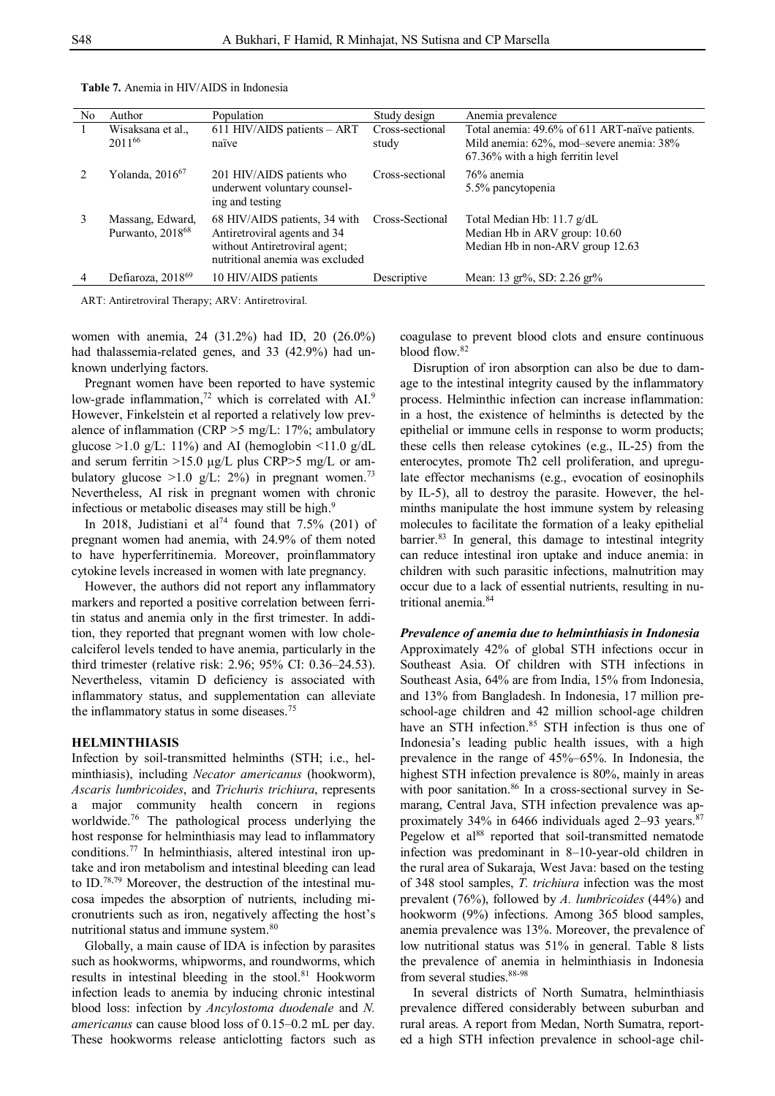| No             | Author                                           | Population                                                                                                                        | Study design             | Anemia prevalence                                                                                                                  |
|----------------|--------------------------------------------------|-----------------------------------------------------------------------------------------------------------------------------------|--------------------------|------------------------------------------------------------------------------------------------------------------------------------|
| $\overline{1}$ | Wisaksana et al.,<br>201166                      | 611 HIV/AIDS patients $-$ ART<br>naïve                                                                                            | Cross-sectional<br>study | Total anemia: 49.6% of 611 ART-naïve patients.<br>Mild anemia: 62%, mod-severe anemia: 38%<br>$67.36\%$ with a high ferritin level |
|                | Yolanda, $2016^{67}$                             | 201 HIV/AIDS patients who<br>underwent voluntary counsel-<br>ing and testing                                                      | Cross-sectional          | 76% anemia<br>5.5% pancytopenia                                                                                                    |
| $\mathcal{E}$  | Massang, Edward,<br>Purwanto, 2018 <sup>68</sup> | 68 HIV/AIDS patients, 34 with<br>Antiretroviral agents and 34<br>without Antiretroviral agent;<br>nutritional anemia was excluded | Cross-Sectional          | Total Median Hb: 11.7 g/dL<br>Median Hb in ARV group: 10.60<br>Median Hb in non-ARV group 12.63                                    |
|                | Defiaroza, 2018 <sup>69</sup>                    | 10 HIV/AIDS patients                                                                                                              | Descriptive              | Mean: 13 gr%, SD: 2.26 gr%                                                                                                         |

**Table 7.** Anemia in HIV/AIDS in Indonesia

ART: Antiretroviral Therapy; ARV: Antiretroviral.

women with anemia, 24 (31.2%) had ID, 20 (26.0%) had thalassemia-related genes, and 33 (42.9%) had unknown underlying factors.

Pregnant women have been reported to have systemic low-grade inflammation,<sup>72</sup> which is correlated with  $AI<sup>9</sup>$ . However, Finkelstein et al reported a relatively low prevalence of inflammation (CRP  $>5$  mg/L: 17%; ambulatory glucose  $>1.0$  g/L: 11%) and AI (hemoglobin  $\leq 11.0$  g/dL and serum ferritin >15.0 μg/L plus CRP>5 mg/L or ambulatory glucose  $>1.0$  g/L: 2%) in pregnant women.<sup>73</sup> Nevertheless, AI risk in pregnant women with chronic infectious or metabolic diseases may still be high.<sup>9</sup>

In 2018, Judistiani et al<sup>74</sup> found that  $7.5\%$  (201) of pregnant women had anemia, with 24.9% of them noted to have hyperferritinemia. Moreover, proinflammatory cytokine levels increased in women with late pregnancy.

However, the authors did not report any inflammatory markers and reported a positive correlation between ferritin status and anemia only in the first trimester. In addition, they reported that pregnant women with low cholecalciferol levels tended to have anemia, particularly in the third trimester (relative risk: 2.96; 95% CI: 0.36–24.53). Nevertheless, vitamin D deficiency is associated with inflammatory status, and supplementation can alleviate the inflammatory status in some diseases.<sup>75</sup>

#### **HELMINTHIASIS**

Infection by soil-transmitted helminths (STH; i.e., helminthiasis), including *Necator americanus* (hookworm), *Ascaris lumbricoides*, and *Trichuris trichiura*, represents a major community health concern in regions worldwide.<sup>76</sup> The pathological process underlying the host response for helminthiasis may lead to inflammatory conditions.<sup>77</sup> In helminthiasis, altered intestinal iron uptake and iron metabolism and intestinal bleeding can lead to ID.78,79 Moreover, the destruction of the intestinal mucosa impedes the absorption of nutrients, including micronutrients such as iron, negatively affecting the host's nutritional status and immune system.<sup>80</sup>

Globally, a main cause of IDA is infection by parasites such as hookworms, whipworms, and roundworms, which results in intestinal bleeding in the stool.<sup>81</sup> Hookworm infection leads to anemia by inducing chronic intestinal blood loss: infection by *Ancylostoma duodenale* and *N. americanus* can cause blood loss of 0.15–0.2 mL per day. These hookworms release anticlotting factors such as coagulase to prevent blood clots and ensure continuous blood flow.<sup>82</sup>

Disruption of iron absorption can also be due to damage to the intestinal integrity caused by the inflammatory process. Helminthic infection can increase inflammation: in a host, the existence of helminths is detected by the epithelial or immune cells in response to worm products; these cells then release cytokines (e.g., IL-25) from the enterocytes, promote Th2 cell proliferation, and upregulate effector mechanisms (e.g., evocation of eosinophils by IL-5), all to destroy the parasite. However, the helminths manipulate the host immune system by releasing molecules to facilitate the formation of a leaky epithelial barrier.<sup>83</sup> In general, this damage to intestinal integrity can reduce intestinal iron uptake and induce anemia: in children with such parasitic infections, malnutrition may occur due to a lack of essential nutrients, resulting in nutritional anemia.<sup>84</sup>

#### *Prevalence of anemia due to helminthiasis in Indonesia*

Approximately 42% of global STH infections occur in Southeast Asia. Of children with STH infections in Southeast Asia, 64% are from India, 15% from Indonesia, and 13% from Bangladesh. In Indonesia, 17 million preschool-age children and 42 million school-age children have an STH infection.<sup>85</sup> STH infection is thus one of Indonesia's leading public health issues, with a high prevalence in the range of 45%–65%. In Indonesia, the highest STH infection prevalence is 80%, mainly in areas with poor sanitation.<sup>86</sup> In a cross-sectional survey in Semarang, Central Java, STH infection prevalence was approximately 34% in 6466 individuals aged 2–93 years. $87$ Pegelow et al<sup>88</sup> reported that soil-transmitted nematode infection was predominant in 8–10-year-old children in the rural area of Sukaraja, West Java: based on the testing of 348 stool samples, *T. trichiura* infection was the most prevalent (76%), followed by *A. lumbricoides* (44%) and hookworm (9%) infections. Among 365 blood samples, anemia prevalence was 13%. Moreover, the prevalence of low nutritional status was 51% in general. Table 8 lists the prevalence of anemia in helminthiasis in Indonesia from several studies. 88-98

In several districts of North Sumatra, helminthiasis prevalence differed considerably between suburban and rural areas. A report from Medan, North Sumatra, reported a high STH infection prevalence in school-age chil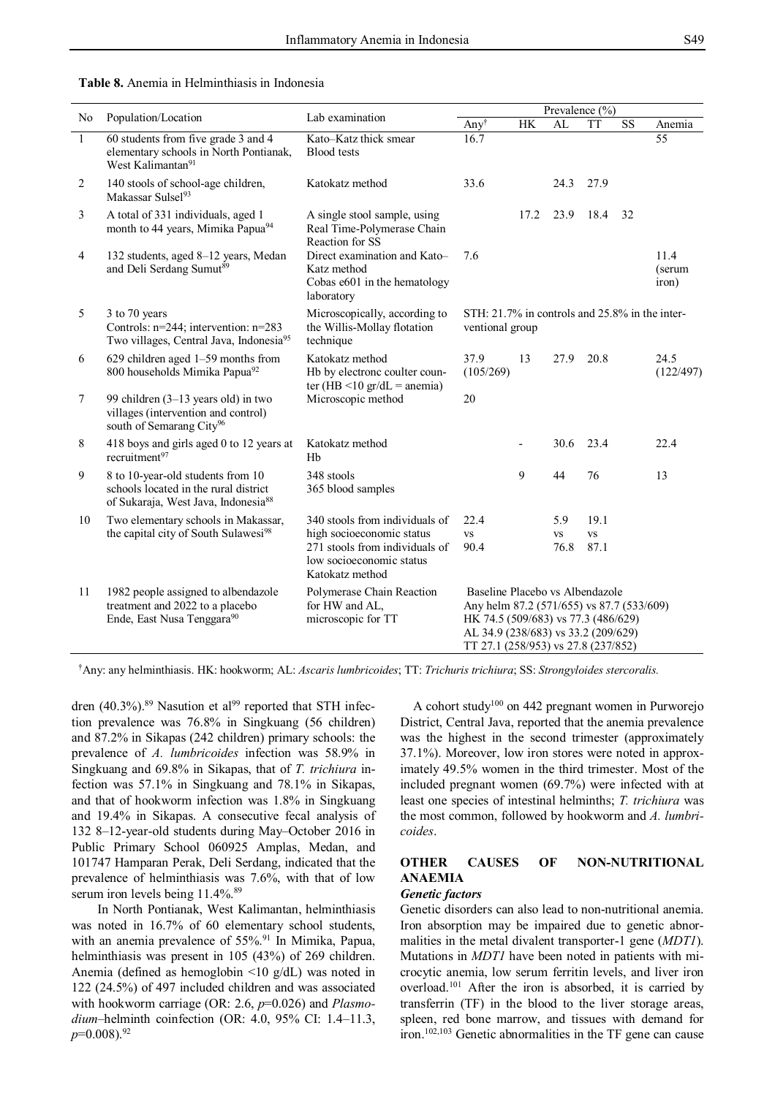**Table 8.** Anemia in Helminthiasis in Indonesia

|                |                                                                                                                               |                                                                                                            | Prevalence (%)                                                                                                                                                                                    |           |                   |                   |                        |                         |
|----------------|-------------------------------------------------------------------------------------------------------------------------------|------------------------------------------------------------------------------------------------------------|---------------------------------------------------------------------------------------------------------------------------------------------------------------------------------------------------|-----------|-------------------|-------------------|------------------------|-------------------------|
| N <sub>o</sub> | Population/Location                                                                                                           | Lab examination                                                                                            | Anyt                                                                                                                                                                                              | <b>HK</b> | AL                | <b>TT</b>         | $\overline{\text{SS}}$ | Anemia                  |
| $\mathbf{1}$   | 60 students from five grade 3 and 4<br>elementary schools in North Pontianak,<br>West Kalimantan <sup>91</sup>                | Kato-Katz thick smear<br><b>Blood</b> tests                                                                | 16.7                                                                                                                                                                                              |           |                   |                   |                        | 55                      |
| 2              | 140 stools of school-age children,<br>Makassar Sulsel <sup>93</sup>                                                           | Katokatz method                                                                                            | 33.6                                                                                                                                                                                              |           | 24.3              | 27.9              |                        |                         |
| 3              | A total of 331 individuals, aged 1<br>month to 44 years, Mimika Papua <sup>94</sup>                                           | A single stool sample, using<br>Real Time-Polymerase Chain<br>Reaction for SS                              |                                                                                                                                                                                                   | 17.2      | 23.9              | 18.4              | 32                     |                         |
| $\overline{4}$ | 132 students, aged 8-12 years, Medan<br>and Deli Serdang Sumut <sup>89</sup>                                                  | Direct examination and Kato-<br>Katz method<br>Cobas e601 in the hematology<br>laboratory                  | 7.6                                                                                                                                                                                               |           |                   |                   |                        | 11.4<br>(serum<br>iron) |
| 5              | 3 to 70 years<br>Controls: n=244; intervention: n=283<br>Two villages, Central Java, Indonesia95                              | Microscopically, according to<br>the Willis-Mollay flotation<br>technique                                  | STH: 21.7% in controls and 25.8% in the inter-<br>ventional group                                                                                                                                 |           |                   |                   |                        |                         |
| 6              | 629 children aged 1-59 months from<br>800 households Mimika Papua <sup>92</sup>                                               | Katokatz method<br>Hb by electronc coulter coun-<br>ter (HB $\leq$ 10 gr/dL = anemia)                      | 37.9<br>(105/269)                                                                                                                                                                                 | 13        | 27.9              | 20.8              |                        | 24.5<br>(122/497)       |
| $\tau$         | 99 children $(3-13 \text{ years old})$ in two<br>villages (intervention and control)<br>south of Semarang City <sup>96</sup>  | Microscopic method                                                                                         | 20                                                                                                                                                                                                |           |                   |                   |                        |                         |
| 8              | 418 boys and girls aged 0 to 12 years at<br>recruitment <sup>97</sup>                                                         | Katokatz method<br>Hb                                                                                      |                                                                                                                                                                                                   |           | 30.6              | 23.4              |                        | 22.4                    |
| $\mathbf{9}$   | 8 to 10-year-old students from 10<br>schools located in the rural district<br>of Sukaraja, West Java, Indonesia <sup>88</sup> | 348 stools<br>365 blood samples                                                                            |                                                                                                                                                                                                   | 9         | 44                | 76                |                        | 13                      |
| 10             | Two elementary schools in Makassar,                                                                                           | 340 stools from individuals of                                                                             | 22.4                                                                                                                                                                                              |           | 5.9               | 19.1              |                        |                         |
|                | the capital city of South Sulawesi <sup>98</sup>                                                                              | high socioeconomic status<br>271 stools from individuals of<br>low socioeconomic status<br>Katokatz method | <b>VS</b><br>90.4                                                                                                                                                                                 |           | <b>VS</b><br>76.8 | <b>VS</b><br>87.1 |                        |                         |
| 11             | 1982 people assigned to albendazole<br>treatment and 2022 to a placebo<br>Ende, East Nusa Tenggara <sup>90</sup>              | Polymerase Chain Reaction<br>for HW and AL,<br>microscopic for TT                                          | Baseline Placebo vs Albendazole<br>Any helm 87.2 (571/655) vs 87.7 (533/609)<br>HK 74.5 (509/683) vs 77.3 (486/629)<br>AL 34.9 (238/683) vs 33.2 (209/629)<br>TT 27.1 (258/953) vs 27.8 (237/852) |           |                   |                   |                        |                         |

†Any: any helminthiasis. HK: hookworm; AL: *Ascaris lumbricoides*; TT: *Trichuris trichiura*; SS: *Strongyloides stercoralis.*

dren (40.3%).<sup>89</sup> Nasution et al<sup>99</sup> reported that STH infection prevalence was 76.8% in Singkuang (56 children) and 87.2% in Sikapas (242 children) primary schools: the prevalence of *A. lumbricoides* infection was 58.9% in Singkuang and 69.8% in Sikapas, that of *T. trichiura* infection was 57.1% in Singkuang and 78.1% in Sikapas, and that of hookworm infection was 1.8% in Singkuang and 19.4% in Sikapas. A consecutive fecal analysis of 132 8–12-year-old students during May–October 2016 in Public Primary School 060925 Amplas, Medan, and 101747 Hamparan Perak, Deli Serdang, indicated that the prevalence of helminthiasis was 7.6%, with that of low serum iron levels being 11.4%.<sup>89</sup>

In North Pontianak, West Kalimantan, helminthiasis was noted in 16.7% of 60 elementary school students, with an anemia prevalence of 55%.<sup>91</sup> In Mimika, Papua, helminthiasis was present in 105 (43%) of 269 children. Anemia (defined as hemoglobin <10 g/dL) was noted in 122 (24.5%) of 497 included children and was associated with hookworm carriage (OR: 2.6, *p*=0.026) and *Plasmodium*–helminth coinfection (OR: 4.0, 95% CI: 1.4–11.3, *p*=0.008).<sup>92</sup>

A cohort study<sup>100</sup> on 442 pregnant women in Purworejo District, Central Java, reported that the anemia prevalence was the highest in the second trimester (approximately 37.1%). Moreover, low iron stores were noted in approximately 49.5% women in the third trimester. Most of the included pregnant women (69.7%) were infected with at least one species of intestinal helminths; *T. trichiura* was the most common, followed by hookworm and *A. lumbricoides*.

# **OTHER CAUSES OF NON-NUTRITIONAL ANAEMIA**

# *Genetic factors*

Genetic disorders can also lead to non-nutritional anemia. Iron absorption may be impaired due to genetic abnormalities in the metal divalent transporter-1 gene (*MDT1*). Mutations in *MDT1* have been noted in patients with microcytic anemia, low serum ferritin levels, and liver iron overload. <sup>101</sup> After the iron is absorbed, it is carried by transferrin (TF) in the blood to the liver storage areas, spleen, red bone marrow, and tissues with demand for iron.102,103 Genetic abnormalities in the TF gene can cause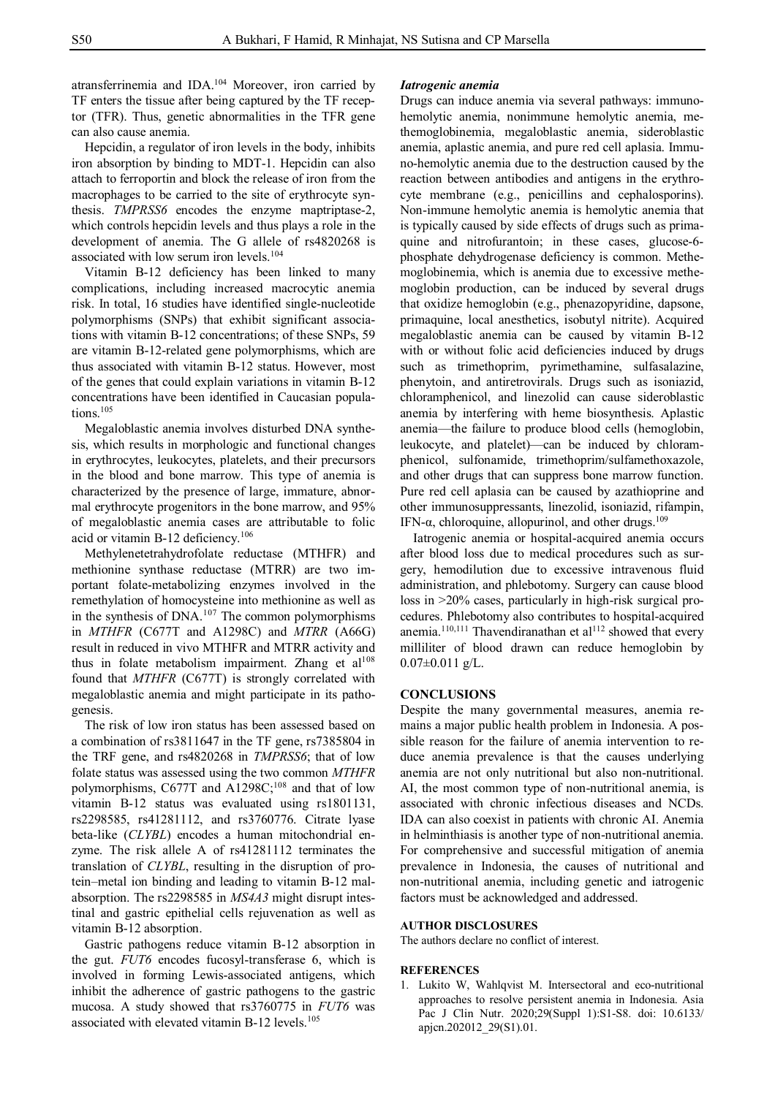atransferrinemia and IDA.<sup>104</sup> Moreover, iron carried by TF enters the tissue after being captured by the TF receptor (TFR). Thus, genetic abnormalities in the TFR gene can also cause anemia.

Hepcidin, a regulator of iron levels in the body, inhibits iron absorption by binding to MDT-1. Hepcidin can also attach to ferroportin and block the release of iron from the macrophages to be carried to the site of erythrocyte synthesis. *TMPRSS6* encodes the enzyme maptriptase-2, which controls hepcidin levels and thus plays a role in the development of anemia. The G allele of rs4820268 is associated with low serum iron levels.<sup>104</sup>

Vitamin B-12 deficiency has been linked to many complications, including increased macrocytic anemia risk. In total, 16 studies have identified single-nucleotide polymorphisms (SNPs) that exhibit significant associations with vitamin B-12 concentrations; of these SNPs, 59 are vitamin B-12-related gene polymorphisms, which are thus associated with vitamin B-12 status. However, most of the genes that could explain variations in vitamin B-12 concentrations have been identified in Caucasian populations.<sup>105</sup>

Megaloblastic anemia involves disturbed DNA synthesis, which results in morphologic and functional changes in erythrocytes, leukocytes, platelets, and their precursors in the blood and bone marrow. This type of anemia is characterized by the presence of large, immature, abnormal erythrocyte progenitors in the bone marrow, and 95% of megaloblastic anemia cases are attributable to folic acid or vitamin B-12 deficiency.<sup>106</sup>

Methylenetetrahydrofolate reductase (MTHFR) and methionine synthase reductase (MTRR) are two important folate-metabolizing enzymes involved in the remethylation of homocysteine into methionine as well as in the synthesis of DNA. <sup>107</sup> The common polymorphisms in *MTHFR* (C677T and A1298C) and *MTRR* (A66G) result in reduced in vivo MTHFR and MTRR activity and thus in folate metabolism impairment. Zhang et  $al^{108}$ found that *MTHFR* (C677T) is strongly correlated with megaloblastic anemia and might participate in its pathogenesis.

The risk of low iron status has been assessed based on a combination of rs3811647 in the TF gene, rs7385804 in the TRF gene, and rs4820268 in *TMPRSS6*; that of low folate status was assessed using the two common *MTHFR* polymorphisms, C677T and A1298C; $^{108}$  and that of low vitamin B-12 status was evaluated using rs1801131, rs2298585, rs41281112, and rs3760776. Citrate lyase beta-like (*CLYBL*) encodes a human mitochondrial enzyme. The risk allele A of rs41281112 terminates the translation of *CLYBL*, resulting in the disruption of protein–metal ion binding and leading to vitamin B-12 malabsorption. The rs2298585 in *MS4A3* might disrupt intestinal and gastric epithelial cells rejuvenation as well as vitamin B-12 absorption.

Gastric pathogens reduce vitamin B-12 absorption in the gut. *FUT6* encodes fucosyl-transferase 6, which is involved in forming Lewis-associated antigens, which inhibit the adherence of gastric pathogens to the gastric mucosa. A study showed that rs3760775 in *FUT6* was associated with elevated vitamin B-12 levels.<sup>105</sup>

#### *Iatrogenic anemia*

Drugs can induce anemia via several pathways: immunohemolytic anemia, nonimmune hemolytic anemia, methemoglobinemia, megaloblastic anemia, sideroblastic anemia, aplastic anemia, and pure red cell aplasia. Immuno-hemolytic anemia due to the destruction caused by the reaction between antibodies and antigens in the erythrocyte membrane (e.g., penicillins and cephalosporins). Non-immune hemolytic anemia is hemolytic anemia that is typically caused by side effects of drugs such as primaquine and nitrofurantoin; in these cases, glucose-6 phosphate dehydrogenase deficiency is common. Methemoglobinemia, which is anemia due to excessive methemoglobin production, can be induced by several drugs that oxidize hemoglobin (e.g., phenazopyridine, dapsone, primaquine, local anesthetics, isobutyl nitrite). Acquired megaloblastic anemia can be caused by vitamin B-12 with or without folic acid deficiencies induced by drugs such as trimethoprim, pyrimethamine, sulfasalazine, phenytoin, and antiretrovirals. Drugs such as isoniazid, chloramphenicol, and linezolid can cause sideroblastic anemia by interfering with heme biosynthesis. Aplastic anemia—the failure to produce blood cells (hemoglobin, leukocyte, and platelet)—can be induced by chloramphenicol, sulfonamide, trimethoprim/sulfamethoxazole, and other drugs that can suppress bone marrow function. Pure red cell aplasia can be caused by azathioprine and other immunosuppressants, linezolid, isoniazid, rifampin, IFN- $\alpha$ , chloroquine, allopurinol, and other drugs.<sup>109</sup>

Iatrogenic anemia or hospital-acquired anemia occurs after blood loss due to medical procedures such as surgery, hemodilution due to excessive intravenous fluid administration, and phlebotomy. Surgery can cause blood loss in >20% cases, particularly in high-risk surgical procedures. Phlebotomy also contributes to hospital-acquired anemia.<sup>110,111</sup> Thavendiranathan et al<sup>112</sup> showed that every milliliter of blood drawn can reduce hemoglobin by  $0.07 \pm 0.011$  g/L.

## **CONCLUSIONS**

Despite the many governmental measures, anemia remains a major public health problem in Indonesia. A possible reason for the failure of anemia intervention to reduce anemia prevalence is that the causes underlying anemia are not only nutritional but also non-nutritional. AI, the most common type of non-nutritional anemia, is associated with chronic infectious diseases and NCDs. IDA can also coexist in patients with chronic AI. Anemia in helminthiasis is another type of non-nutritional anemia. For comprehensive and successful mitigation of anemia prevalence in Indonesia, the causes of nutritional and non-nutritional anemia, including genetic and iatrogenic factors must be acknowledged and addressed.

### **AUTHOR DISCLOSURES**

The authors declare no conflict of interest.

#### **REFERENCES**

1. Lukito W, Wahlqvist M. Intersectoral and eco-nutritional approaches to resolve persistent anemia in Indonesia. Asia Pac J Clin Nutr. 2020;29(Suppl 1):S1-S8. doi: 10.6133/ apjcn.202012\_29(S1).01.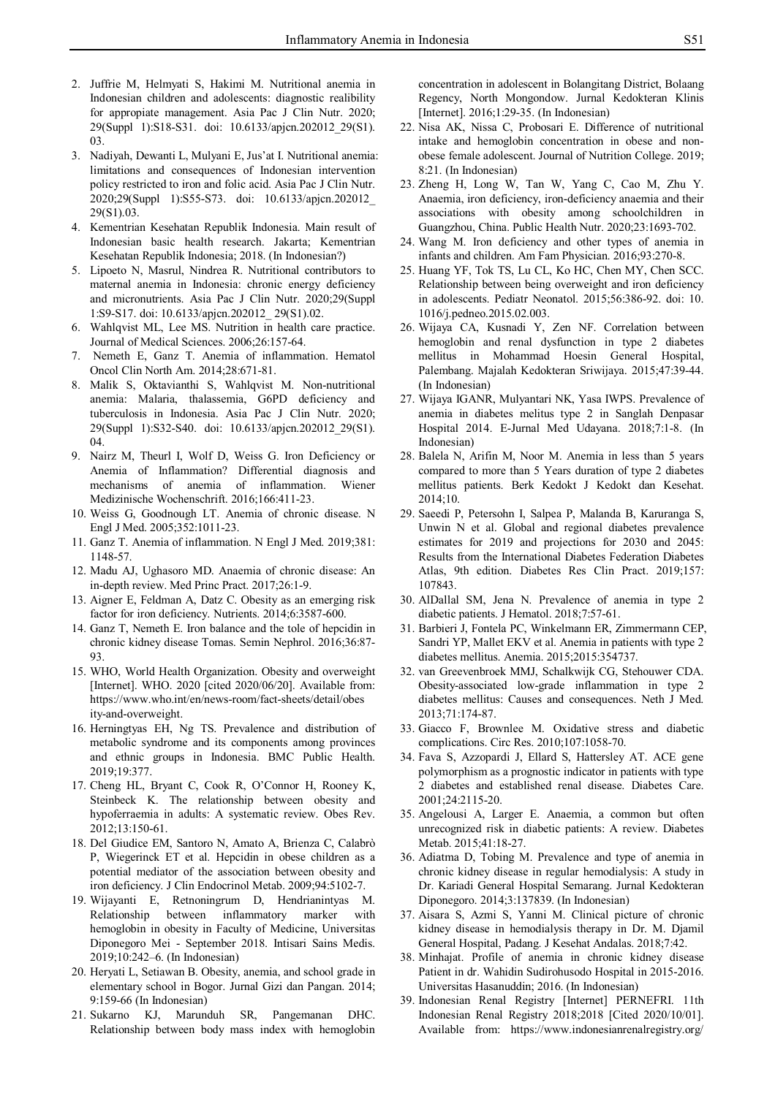- 2. Juffrie M, Helmyati S, Hakimi M. Nutritional anemia in Indonesian children and adolescents: diagnostic realibility for appropiate management. Asia Pac J Clin Nutr. 2020; 29(Suppl 1):S18-S31. doi: 10.6133/apjcn.202012\_29(S1). 03.
- 3. Nadiyah, Dewanti L, Mulyani E, Jus'at I. Nutritional anemia: limitations and consequences of Indonesian intervention policy restricted to iron and folic acid. Asia Pac J Clin Nutr. 2020;29(Suppl 1):S55-S73. doi: 10.6133/apjcn.202012\_ 29(S1).03.
- 4. Kementrian Kesehatan Republik Indonesia. Main result of Indonesian basic health research. Jakarta; Kementrian Kesehatan Republik Indonesia; 2018. (In Indonesian?)
- 5. Lipoeto N, Masrul, Nindrea R. Nutritional contributors to maternal anemia in Indonesia: chronic energy deficiency and micronutrients. Asia Pac J Clin Nutr. 2020;29(Suppl 1:S9-S17. doi: 10.6133/apjcn.202012\_ 29(S1).02.
- 6. Wahlqvist ML, Lee MS. Nutrition in health care practice. Journal of Medical Sciences. 2006;26:157-64.
- 7. Nemeth E, Ganz T. Anemia of inflammation. Hematol Oncol Clin North Am. 2014;28:671-81.
- 8. Malik S, Oktavianthi S, Wahlqvist M. Non-nutritional anemia: Malaria, thalassemia, G6PD deficiency and tuberculosis in Indonesia. Asia Pac J Clin Nutr. 2020; 29(Suppl 1):S32-S40. doi: 10.6133/apjcn.202012\_29(S1). 04.
- 9. Nairz M, Theurl I, Wolf D, Weiss G. Iron Deficiency or Anemia of Inflammation? Differential diagnosis and mechanisms of anemia of inflammation. Wiener Medizinische Wochenschrift. 2016;166:411-23.
- 10. Weiss G, Goodnough LT. Anemia of chronic disease. N Engl J Med. 2005;352:1011-23.
- 11. Ganz T. Anemia of inflammation. N Engl J Med. 2019;381: 1148-57.
- 12. Madu AJ, Ughasoro MD. Anaemia of chronic disease: An in-depth review. Med Princ Pract. 2017;26:1-9.
- 13. Aigner E, Feldman A, Datz C. Obesity as an emerging risk factor for iron deficiency. Nutrients. 2014;6:3587-600.
- 14. Ganz T, Nemeth E. Iron balance and the tole of hepcidin in chronic kidney disease Tomas. Semin Nephrol. 2016;36:87- 93.
- 15. WHO, World Health Organization. Obesity and overweight [Internet]. WHO. 2020 [cited 2020/06/20]. Available from: https://www.who.int/en/news-room/fact-sheets/detail/obes ity-and-overweight.
- 16. Herningtyas EH, Ng TS. Prevalence and distribution of metabolic syndrome and its components among provinces and ethnic groups in Indonesia. BMC Public Health. 2019;19:377.
- 17. Cheng HL, Bryant C, Cook R, O'Connor H, Rooney K, Steinbeck K. The relationship between obesity and hypoferraemia in adults: A systematic review. Obes Rev. 2012;13:150-61.
- 18. Del Giudice EM, Santoro N, Amato A, Brienza C, Calabrò P, Wiegerinck ET et al. Hepcidin in obese children as a potential mediator of the association between obesity and iron deficiency. J Clin Endocrinol Metab. 2009;94:5102-7.
- 19. Wijayanti E, Retnoningrum D, Hendrianintyas M. Relationship between inflammatory marker with hemoglobin in obesity in Faculty of Medicine, Universitas Diponegoro Mei - September 2018. Intisari Sains Medis. 2019;10:242–6. (In Indonesian)
- 20. Heryati L, Setiawan B. Obesity, anemia, and school grade in elementary school in Bogor. Jurnal Gizi dan Pangan. 2014; 9:159-66 (In Indonesian)
- 21. Sukarno KJ, Marunduh SR, Pangemanan DHC. Relationship between body mass index with hemoglobin

concentration in adolescent in Bolangitang District, Bolaang Regency, North Mongondow. Jurnal Kedokteran Klinis [Internet]. 2016;1:29-35. (In Indonesian)

- 22. Nisa AK, Nissa C, Probosari E. Difference of nutritional intake and hemoglobin concentration in obese and nonobese female adolescent. Journal of Nutrition College. 2019; 8:21. (In Indonesian)
- 23. Zheng H, Long W, Tan W, Yang C, Cao M, Zhu Y. Anaemia, iron deficiency, iron-deficiency anaemia and their associations with obesity among schoolchildren in Guangzhou, China. Public Health Nutr. 2020;23:1693-702.
- 24. Wang M. Iron deficiency and other types of anemia in infants and children. Am Fam Physician. 2016;93:270-8.
- 25. Huang YF, Tok TS, Lu CL, Ko HC, Chen MY, Chen SCC. Relationship between being overweight and iron deficiency in adolescents. Pediatr Neonatol. 2015;56:386-92. doi: 10. 1016/j.pedneo.2015.02.003.
- 26. Wijaya CA, Kusnadi Y, Zen NF. Correlation between hemoglobin and renal dysfunction in type 2 diabetes mellitus in Mohammad Hoesin General Hospital, Palembang. Majalah Kedokteran Sriwijaya. 2015;47:39-44. (In Indonesian)
- 27. Wijaya IGANR, Mulyantari NK, Yasa IWPS. Prevalence of anemia in diabetes melitus type 2 in Sanglah Denpasar Hospital 2014. E-Jurnal Med Udayana. 2018;7:1-8. (In Indonesian)
- 28. Balela N, Arifin M, Noor M. Anemia in less than 5 years compared to more than 5 Years duration of type 2 diabetes mellitus patients. Berk Kedokt J Kedokt dan Kesehat. 2014;10.
- 29. Saeedi P, Petersohn I, Salpea P, Malanda B, Karuranga S, Unwin N et al. Global and regional diabetes prevalence estimates for 2019 and projections for 2030 and 2045: Results from the International Diabetes Federation Diabetes Atlas, 9th edition. Diabetes Res Clin Pract. 2019;157: 107843.
- 30. AlDallal SM, Jena N. Prevalence of anemia in type 2 diabetic patients. J Hematol. 2018;7:57-61.
- 31. Barbieri J, Fontela PC, Winkelmann ER, Zimmermann CEP, Sandri YP, Mallet EKV et al. Anemia in patients with type 2 diabetes mellitus. Anemia. 2015;2015:354737.
- 32. van Greevenbroek MMJ, Schalkwijk CG, Stehouwer CDA. Obesity-associated low-grade inflammation in type 2 diabetes mellitus: Causes and consequences. Neth J Med. 2013;71:174-87.
- 33. Giacco F, Brownlee M. Oxidative stress and diabetic complications. Circ Res. 2010;107:1058-70.
- 34. Fava S, Azzopardi J, Ellard S, Hattersley AT. ACE gene polymorphism as a prognostic indicator in patients with type 2 diabetes and established renal disease. Diabetes Care. 2001;24:2115-20.
- 35. Angelousi A, Larger E. Anaemia, a common but often unrecognized risk in diabetic patients: A review. Diabetes Metab. 2015;41:18-27.
- 36. Adiatma D, Tobing M. Prevalence and type of anemia in chronic kidney disease in regular hemodialysis: A study in Dr. Kariadi General Hospital Semarang. Jurnal Kedokteran Diponegoro. 2014;3:137839. (In Indonesian)
- 37. Aisara S, Azmi S, Yanni M. Clinical picture of chronic kidney disease in hemodialysis therapy in Dr. M. Djamil General Hospital, Padang. J Kesehat Andalas. 2018;7:42.
- 38. Minhajat. Profile of anemia in chronic kidney disease Patient in dr. Wahidin Sudirohusodo Hospital in 2015-2016. Universitas Hasanuddin; 2016. (In Indonesian)
- 39. Indonesian Renal Registry [Internet] PERNEFRI. 11th Indonesian Renal Registry 2018;2018 [Cited 2020/10/01]. Available from: https://www.indonesianrenalregistry.org/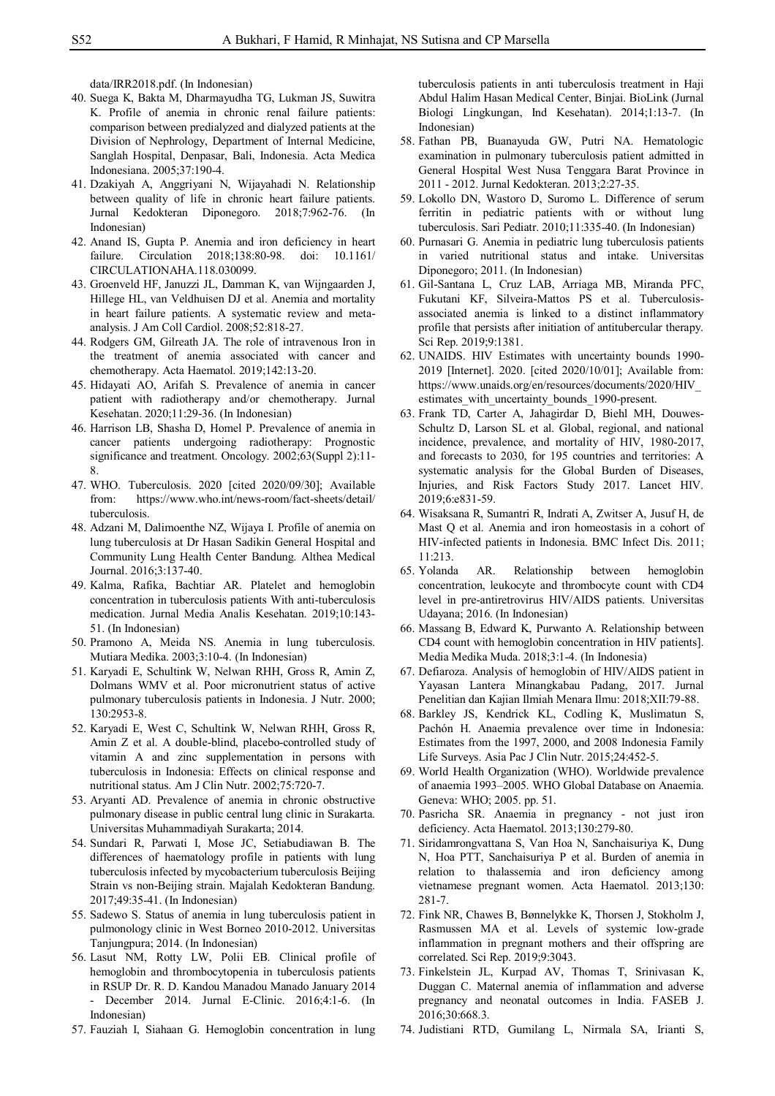data/IRR2018.pdf. (In Indonesian)

- 40. Suega K, Bakta M, Dharmayudha TG, Lukman JS, Suwitra K. Profile of anemia in chronic renal failure patients: comparison between predialyzed and dialyzed patients at the Division of Nephrology, Department of Internal Medicine, Sanglah Hospital, Denpasar, Bali, Indonesia. Acta Medica Indonesiana. 2005;37:190-4.
- 41. Dzakiyah A, Anggriyani N, Wijayahadi N. Relationship between quality of life in chronic heart failure patients. Jurnal Kedokteran Diponegoro. 2018;7:962-76. (In Indonesian)
- 42. Anand IS, Gupta P. Anemia and iron deficiency in heart failure. Circulation 2018;138:80-98. doi: 10.1161/ CIRCULATIONAHA.118.030099.
- 43. Groenveld HF, Januzzi JL, Damman K, van Wijngaarden J, Hillege HL, van Veldhuisen DJ et al. Anemia and mortality in heart failure patients. A systematic review and metaanalysis. J Am Coll Cardiol. 2008;52:818-27.
- 44. Rodgers GM, Gilreath JA. The role of intravenous Iron in the treatment of anemia associated with cancer and chemotherapy. Acta Haematol. 2019;142:13-20.
- 45. Hidayati AO, Arifah S. Prevalence of anemia in cancer patient with radiotherapy and/or chemotherapy. Jurnal Kesehatan. 2020;11:29-36. (In Indonesian)
- 46. Harrison LB, Shasha D, Homel P. Prevalence of anemia in cancer patients undergoing radiotherapy: Prognostic significance and treatment. Oncology. 2002;63(Suppl 2):11- 8.
- 47. WHO. Tuberculosis. 2020 [cited 2020/09/30]; Available from: https://www.who.int/news-room/fact-sheets/detail/ tuberculosis.
- 48. Adzani M, Dalimoenthe NZ, Wijaya I. Profile of anemia on lung tuberculosis at Dr Hasan Sadikin General Hospital and Community Lung Health Center Bandung. Althea Medical Journal. 2016;3:137-40.
- 49. Kalma, Rafika, Bachtiar AR. Platelet and hemoglobin concentration in tuberculosis patients With anti-tuberculosis medication. Jurnal Media Analis Kesehatan. 2019;10:143- 51. (In Indonesian)
- 50. Pramono A, Meida NS. Anemia in lung tuberculosis. Mutiara Medika. 2003;3:10-4. (In Indonesian)
- 51. Karyadi E, Schultink W, Nelwan RHH, Gross R, Amin Z, Dolmans WMV et al. Poor micronutrient status of active pulmonary tuberculosis patients in Indonesia. J Nutr. 2000; 130:2953-8.
- 52. Karyadi E, West C, Schultink W, Nelwan RHH, Gross R, Amin Z et al. A double-blind, placebo-controlled study of vitamin A and zinc supplementation in persons with tuberculosis in Indonesia: Effects on clinical response and nutritional status. Am J Clin Nutr. 2002;75:720-7.
- 53. Aryanti AD. Prevalence of anemia in chronic obstructive pulmonary disease in public central lung clinic in Surakarta. Universitas Muhammadiyah Surakarta; 2014.
- 54. Sundari R, Parwati I, Mose JC, Setiabudiawan B. The differences of haematology profile in patients with lung tuberculosis infected by mycobacterium tuberculosis Beijing Strain vs non-Beijing strain. Majalah Kedokteran Bandung. 2017;49:35-41. (In Indonesian)
- 55. Sadewo S. Status of anemia in lung tuberculosis patient in pulmonology clinic in West Borneo 2010-2012. Universitas Tanjungpura; 2014. (In Indonesian)
- 56. Lasut NM, Rotty LW, Polii EB. Clinical profile of hemoglobin and thrombocytopenia in tuberculosis patients in RSUP Dr. R. D. Kandou Manadou Manado January 2014 December 2014. Jurnal E-Clinic. 2016;4:1-6. (In Indonesian)
- 57. Fauziah I, Siahaan G. Hemoglobin concentration in lung

tuberculosis patients in anti tuberculosis treatment in Haji Abdul Halim Hasan Medical Center, Binjai. BioLink (Jurnal Biologi Lingkungan, Ind Kesehatan). 2014;1:13-7. (In Indonesian)

- 58. Fathan PB, Buanayuda GW, Putri NA. Hematologic examination in pulmonary tuberculosis patient admitted in General Hospital West Nusa Tenggara Barat Province in 2011 - 2012. Jurnal Kedokteran. 2013;2:27-35.
- 59. Lokollo DN, Wastoro D, Suromo L. Difference of serum ferritin in pediatric patients with or without lung tuberculosis. Sari Pediatr. 2010;11:335-40. (In Indonesian)
- 60. Purnasari G. Anemia in pediatric lung tuberculosis patients in varied nutritional status and intake. Universitas Diponegoro; 2011. (In Indonesian)
- 61. Gil-Santana L, Cruz LAB, Arriaga MB, Miranda PFC, Fukutani KF, Silveira-Mattos PS et al. Tuberculosisassociated anemia is linked to a distinct inflammatory profile that persists after initiation of antitubercular therapy. Sci Rep. 2019;9:1381.
- 62. UNAIDS. HIV Estimates with uncertainty bounds 1990- 2019 [Internet]. 2020. [cited 2020/10/01]; Available from: https://www.unaids.org/en/resources/documents/2020/HIV\_ estimates with uncertainty bounds 1990-present.
- 63. Frank TD, Carter A, Jahagirdar D, Biehl MH, Douwes-Schultz D, Larson SL et al. Global, regional, and national incidence, prevalence, and mortality of HIV, 1980-2017, and forecasts to 2030, for 195 countries and territories: A systematic analysis for the Global Burden of Diseases, Injuries, and Risk Factors Study 2017. Lancet HIV. 2019;6:e831-59.
- 64. Wisaksana R, Sumantri R, Indrati A, Zwitser A, Jusuf H, de Mast Q et al. Anemia and iron homeostasis in a cohort of HIV-infected patients in Indonesia. BMC Infect Dis. 2011;  $11.213$
- 65. Yolanda AR. Relationship between hemoglobin concentration, leukocyte and thrombocyte count with CD4 level in pre-antiretrovirus HIV/AIDS patients. Universitas Udayana; 2016. (In Indonesian)
- 66. Massang B, Edward K, Purwanto A. Relationship between CD4 count with hemoglobin concentration in HIV patients]. Media Medika Muda. 2018;3:1-4. (In Indonesia)
- 67. Defiaroza. Analysis of hemoglobin of HIV/AIDS patient in Yayasan Lantera Minangkabau Padang, 2017. Jurnal Penelitian dan Kajian Ilmiah Menara Ilmu: 2018;XII:79-88.
- 68. Barkley JS, Kendrick KL, Codling K, Muslimatun S, Pachón H. Anaemia prevalence over time in Indonesia: Estimates from the 1997, 2000, and 2008 Indonesia Family Life Surveys. Asia Pac J Clin Nutr. 2015;24:452-5.
- 69. World Health Organization (WHO). Worldwide prevalence of anaemia 1993–2005. WHO Global Database on Anaemia. Geneva: WHO; 2005. pp. 51.
- 70. Pasricha SR. Anaemia in pregnancy not just iron deficiency. Acta Haematol. 2013;130:279-80.
- 71. Siridamrongvattana S, Van Hoa N, Sanchaisuriya K, Dung N, Hoa PTT, Sanchaisuriya P et al. Burden of anemia in relation to thalassemia and iron deficiency among vietnamese pregnant women. Acta Haematol. 2013;130: 281-7.
- 72. Fink NR, Chawes B, Bønnelykke K, Thorsen J, Stokholm J, Rasmussen MA et al. Levels of systemic low-grade inflammation in pregnant mothers and their offspring are correlated. Sci Rep. 2019;9:3043.
- 73. Finkelstein JL, Kurpad AV, Thomas T, Srinivasan K, Duggan C. Maternal anemia of inflammation and adverse pregnancy and neonatal outcomes in India. FASEB J. 2016;30:668.3.
- 74. Judistiani RTD, Gumilang L, Nirmala SA, Irianti S,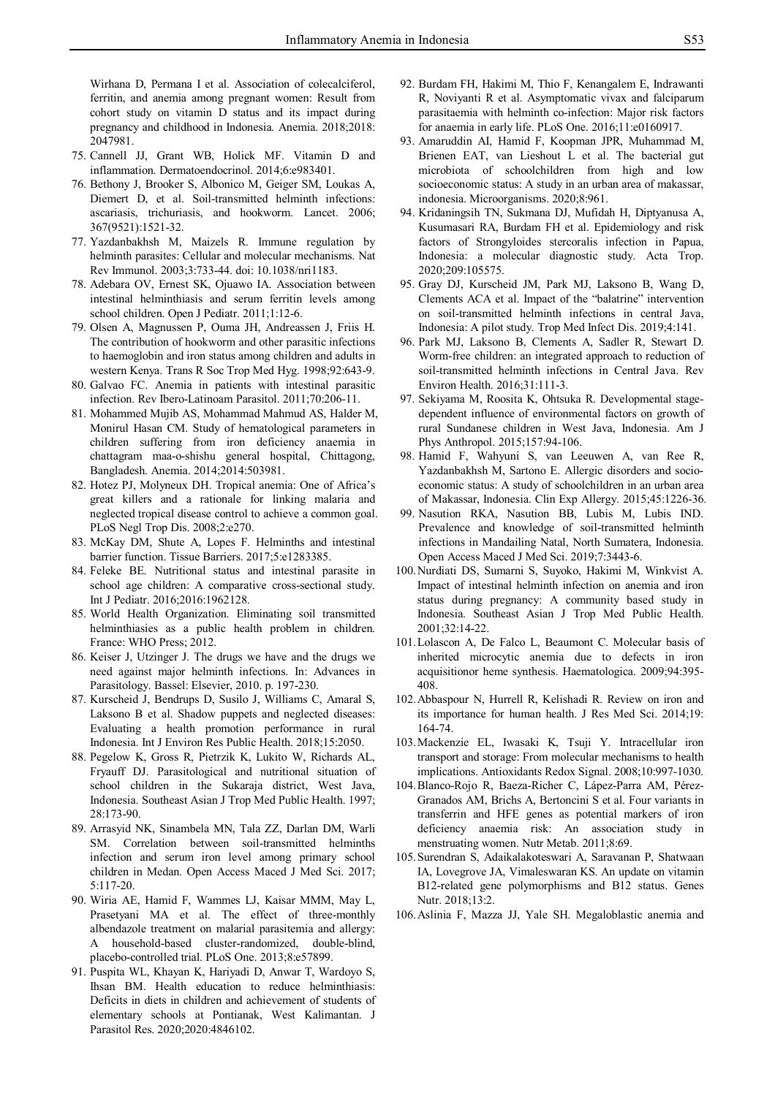Wirhana D, Permana I et al. Association of colecalciferol, ferritin, and anemia among pregnant women: Result from cohort study on vitamin D status and its impact during pregnancy and childhood in Indonesia. Anemia. 2018;2018: 2047981.

- 75. Cannell JJ, Grant WB, Holick MF. Vitamin D and inflammation. Dermatoendocrinol. 2014;6:e983401.
- 76. Bethony J, Brooker S, Albonico M, Geiger SM, Loukas A, Diemert D, et al. Soil-transmitted helminth infections: ascariasis, trichuriasis, and hookworm. Lancet. 2006; 367(9521):1521-32.
- 77. Yazdanbakhsh M, Maizels R. Immune regulation by helminth parasites: Cellular and molecular mechanisms. Nat Rev Immunol. 2003;3:733-44. doi: 10.1038/nri1183.
- 78. Adebara OV, Ernest SK, Ojuawo IA. Association between intestinal helminthiasis and serum ferritin levels among school children. Open J Pediatr. 2011;1:12-6.
- 79. Olsen A, Magnussen P, Ouma JH, Andreassen J, Friis H. The contribution of hookworm and other parasitic infections to haemoglobin and iron status among children and adults in western Kenya. Trans R Soc Trop Med Hyg. 1998;92:643-9.
- 80. Galvao FC. Anemia in patients with intestinal parasitic infection. Rev Ibero-Latinoam Parasitol. 2011;70:206-11.
- 81. Mohammed Mujib AS, Mohammad Mahmud AS, Halder M, Monirul Hasan CM. Study of hematological parameters in children suffering from iron deficiency anaemia in chattagram maa-o-shishu general hospital, Chittagong, Bangladesh. Anemia. 2014;2014:503981.
- 82. Hotez PJ, Molyneux DH. Tropical anemia: One of Africa's great killers and a rationale for linking malaria and neglected tropical disease control to achieve a common goal. PLoS Negl Trop Dis. 2008;2:e270.
- 83. McKay DM, Shute A, Lopes F. Helminths and intestinal barrier function. Tissue Barriers. 2017;5:e1283385.
- 84. Feleke BE. Nutritional status and intestinal parasite in school age children: A comparative cross-sectional study. Int J Pediatr. 2016;2016:1962128.
- 85. World Health Organization. Eliminating soil transmitted helminthiasies as a public health problem in children. France: WHO Press; 2012.
- 86. Keiser J, Utzinger J. The drugs we have and the drugs we need against major helminth infections. In: Advances in Parasitology. Bassel: Elsevier, 2010. p. 197-230.
- 87. Kurscheid J, Bendrups D, Susilo J, Williams C, Amaral S, Laksono B et al. Shadow puppets and neglected diseases: Evaluating a health promotion performance in rural Indonesia. Int J Environ Res Public Health. 2018;15:2050.
- 88. Pegelow K, Gross R, Pietrzik K, Lukito W, Richards AL, Fryauff DJ. Parasitological and nutritional situation of school children in the Sukaraja district, West Java, Indonesia. Southeast Asian J Trop Med Public Health. 1997; 28:173-90.
- 89. Arrasyid NK, Sinambela MN, Tala ZZ, Darlan DM, Warli SM. Correlation between soil-transmitted helminths infection and serum iron level among primary school children in Medan. Open Access Maced J Med Sci. 2017; 5:117-20.
- 90. Wiria AE, Hamid F, Wammes LJ, Kaisar MMM, May L, Prasetyani MA et al. The effect of three-monthly albendazole treatment on malarial parasitemia and allergy: A household-based cluster-randomized, double-blind, placebo-controlled trial. PLoS One. 2013;8:e57899.
- 91. Puspita WL, Khayan K, Hariyadi D, Anwar T, Wardoyo S, Ihsan BM. Health education to reduce helminthiasis: Deficits in diets in children and achievement of students of elementary schools at Pontianak, West Kalimantan. J Parasitol Res. 2020;2020:4846102.
- 92. Burdam FH, Hakimi M, Thio F, Kenangalem E, Indrawanti R, Noviyanti R et al. Asymptomatic vivax and falciparum parasitaemia with helminth co-infection: Major risk factors for anaemia in early life. PLoS One. 2016;11:e0160917.
- 93. Amaruddin AI, Hamid F, Koopman JPR, Muhammad M, Brienen EAT, van Lieshout L et al. The bacterial gut microbiota of schoolchildren from high and low socioeconomic status: A study in an urban area of makassar, indonesia. Microorganisms. 2020;8:961.
- 94. Kridaningsih TN, Sukmana DJ, Mufidah H, Diptyanusa A, Kusumasari RA, Burdam FH et al. Epidemiology and risk factors of Strongyloides stercoralis infection in Papua, Indonesia: a molecular diagnostic study. Acta Trop. 2020;209:105575.
- 95. Gray DJ, Kurscheid JM, Park MJ, Laksono B, Wang D, Clements ACA et al. Impact of the "balatrine" intervention on soil-transmitted helminth infections in central Java, Indonesia: A pilot study. Trop Med Infect Dis. 2019;4:141.
- 96. Park MJ, Laksono B, Clements A, Sadler R, Stewart D. Worm-free children: an integrated approach to reduction of soil-transmitted helminth infections in Central Java. Rev Environ Health. 2016;31:111-3.
- 97. Sekiyama M, Roosita K, Ohtsuka R. Developmental stagedependent influence of environmental factors on growth of rural Sundanese children in West Java, Indonesia. Am J Phys Anthropol. 2015;157:94-106.
- 98. Hamid F, Wahyuni S, van Leeuwen A, van Ree R, Yazdanbakhsh M, Sartono E. Allergic disorders and socioeconomic status: A study of schoolchildren in an urban area of Makassar, Indonesia. Clin Exp Allergy. 2015;45:1226-36.
- 99. Nasution RKA, Nasution BB, Lubis M, Lubis IND. Prevalence and knowledge of soil-transmitted helminth infections in Mandailing Natal, North Sumatera, Indonesia. Open Access Maced J Med Sci. 2019;7:3443-6.
- 100.Nurdiati DS, Sumarni S, Suyoko, Hakimi M, Winkvist A. Impact of intestinal helminth infection on anemia and iron status during pregnancy: A community based study in Indonesia. Southeast Asian J Trop Med Public Health. 2001;32:14-22.
- 101.Lolascon A, De Falco L, Beaumont C. Molecular basis of inherited microcytic anemia due to defects in iron acquisitionor heme synthesis. Haematologica. 2009;94:395- 408.
- 102.Abbaspour N, Hurrell R, Kelishadi R. Review on iron and its importance for human health. J Res Med Sci. 2014;19: 164-74.
- 103.Mackenzie EL, Iwasaki K, Tsuji Y. Intracellular iron transport and storage: From molecular mechanisms to health implications. Antioxidants Redox Signal. 2008;10:997-1030.
- 104.Blanco-Rojo R, Baeza-Richer C, Lápez-Parra AM, Pérez-Granados AM, Brichs A, Bertoncini S et al. Four variants in transferrin and HFE genes as potential markers of iron deficiency anaemia risk: An association study in menstruating women. Nutr Metab. 2011;8:69.
- 105.Surendran S, Adaikalakoteswari A, Saravanan P, Shatwaan IA, Lovegrove JA, Vimaleswaran KS. An update on vitamin B12-related gene polymorphisms and B12 status. Genes Nutr. 2018;13:2.
- 106.Aslinia F, Mazza JJ, Yale SH. Megaloblastic anemia and